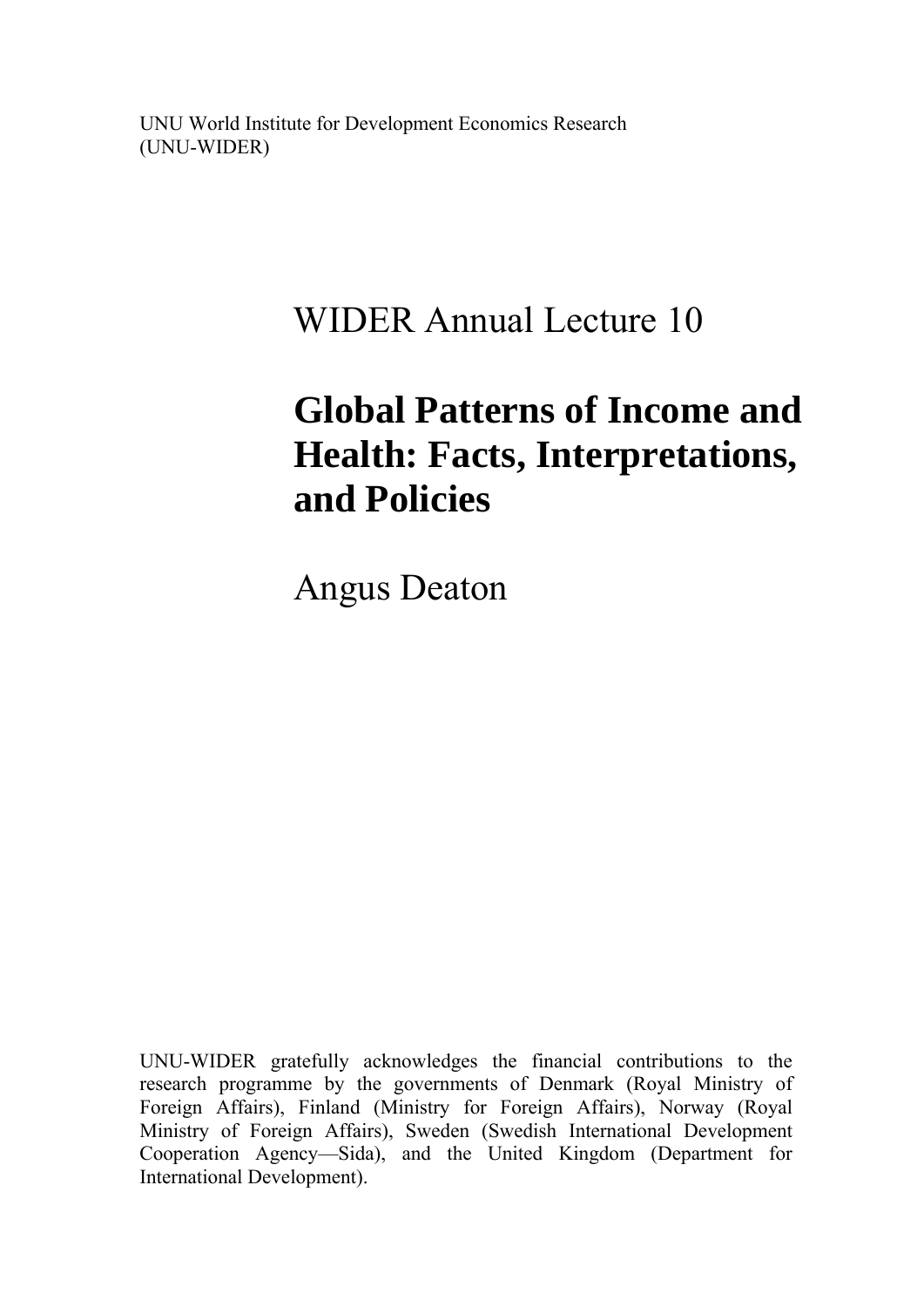UNU World Institute for Development Economics Research (UNU-WIDER)

## WIDER Annual Lecture 10

# **Global Patterns of Income and Health: Facts, Interpretations, and Policies**

Angus Deaton

UNU-WIDER gratefully acknowledges the financial contributions to the research programme by the governments of Denmark (Royal Ministry of Foreign Affairs), Finland (Ministry for Foreign Affairs), Norway (Royal Ministry of Foreign Affairs), Sweden (Swedish International Development Cooperation Agency—Sida), and the United Kingdom (Department for International Development).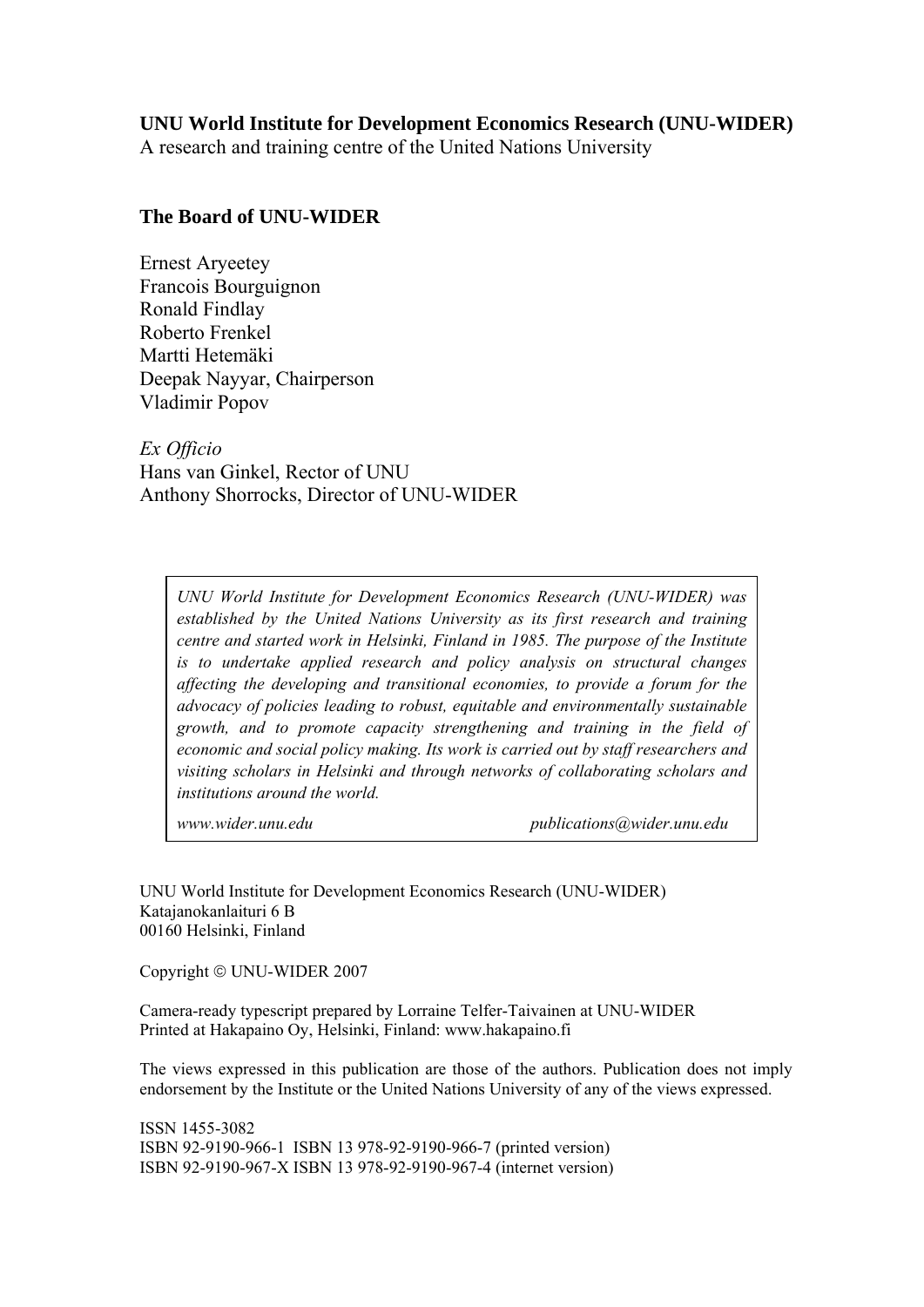#### **UNU World Institute for Development Economics Research (UNU-WIDER)**

A research and training centre of the United Nations University

#### **The Board of UNU-WIDER**

Ernest Aryeetey Francois Bourguignon Ronald Findlay Roberto Frenkel Martti Hetemäki Deepak Nayyar, Chairperson Vladimir Popov

*Ex Officio*  Hans van Ginkel, Rector of UNU Anthony Shorrocks, Director of UNU-WIDER

*UNU World Institute for Development Economics Research (UNU-WIDER) was established by the United Nations University as its first research and training centre and started work in Helsinki, Finland in 1985. The purpose of the Institute is to undertake applied research and policy analysis on structural changes affecting the developing and transitional economies, to provide a forum for the advocacy of policies leading to robust, equitable and environmentally sustainable growth, and to promote capacity strengthening and training in the field of economic and social policy making. Its work is carried out by staff researchers and visiting scholars in Helsinki and through networks of collaborating scholars and institutions around the world.* 

*www.wider.unu.edu publications@wider.unu.edu* 

UNU World Institute for Development Economics Research (UNU-WIDER) Katajanokanlaituri 6 B 00160 Helsinki, Finland

Copyright © UNU-WIDER 2007

Camera-ready typescript prepared by Lorraine Telfer-Taivainen at UNU-WIDER Printed at Hakapaino Oy, Helsinki, Finland: www.hakapaino.fi

The views expressed in this publication are those of the authors. Publication does not imply endorsement by the Institute or the United Nations University of any of the views expressed.

ISSN 1455-3082 ISBN 92-9190-966-1 ISBN 13 978-92-9190-966-7 (printed version) ISBN 92-9190-967-X ISBN 13 978-92-9190-967-4 (internet version)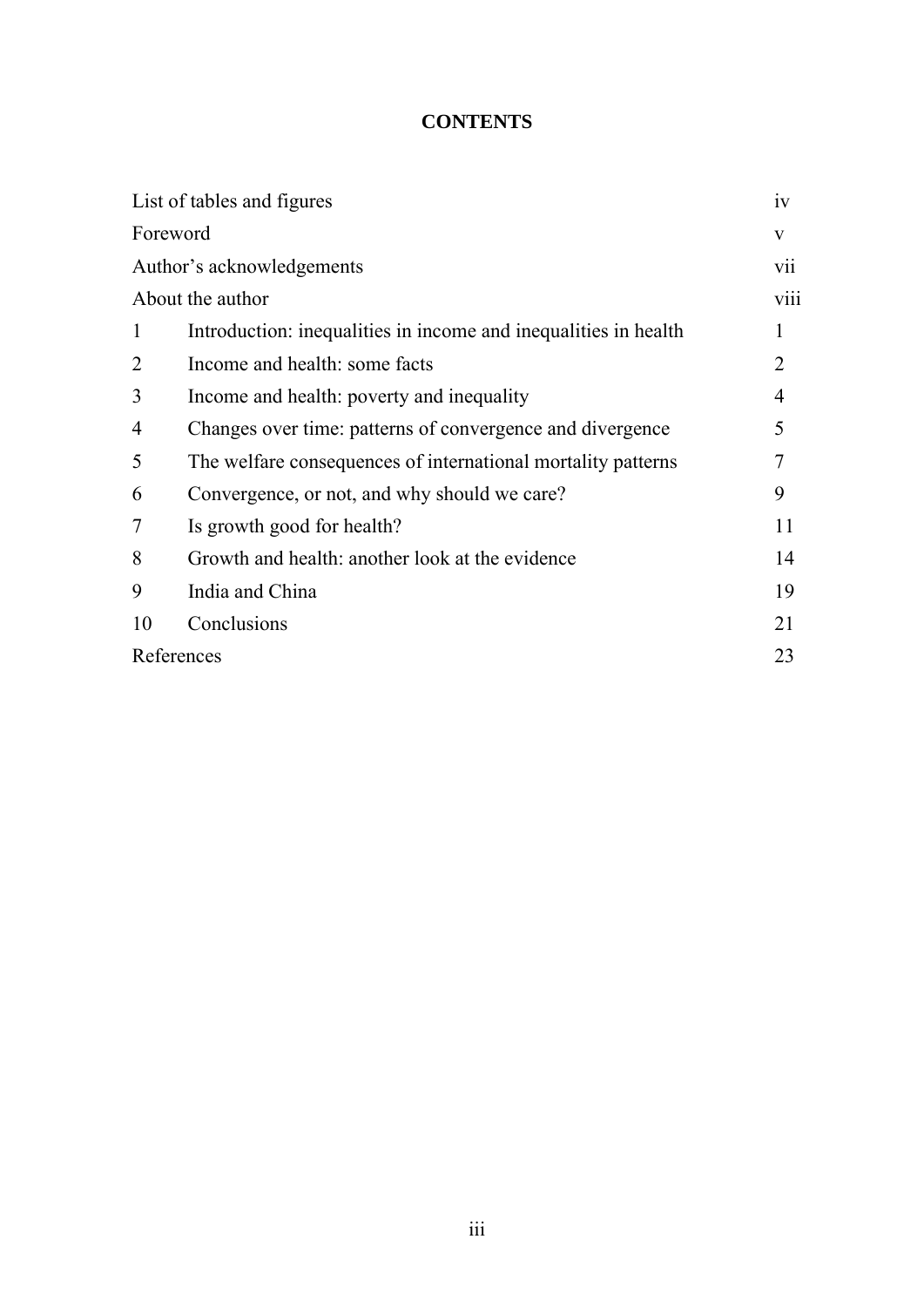## **CONTENTS**

| iv             |
|----------------|
| V              |
| <b>V11</b>     |
| viii           |
| 1              |
| $\overline{2}$ |
| $\overline{4}$ |
| 5              |
|                |
| 9              |
| 11             |
| 14             |
| 19             |
| 21             |
| 23             |
|                |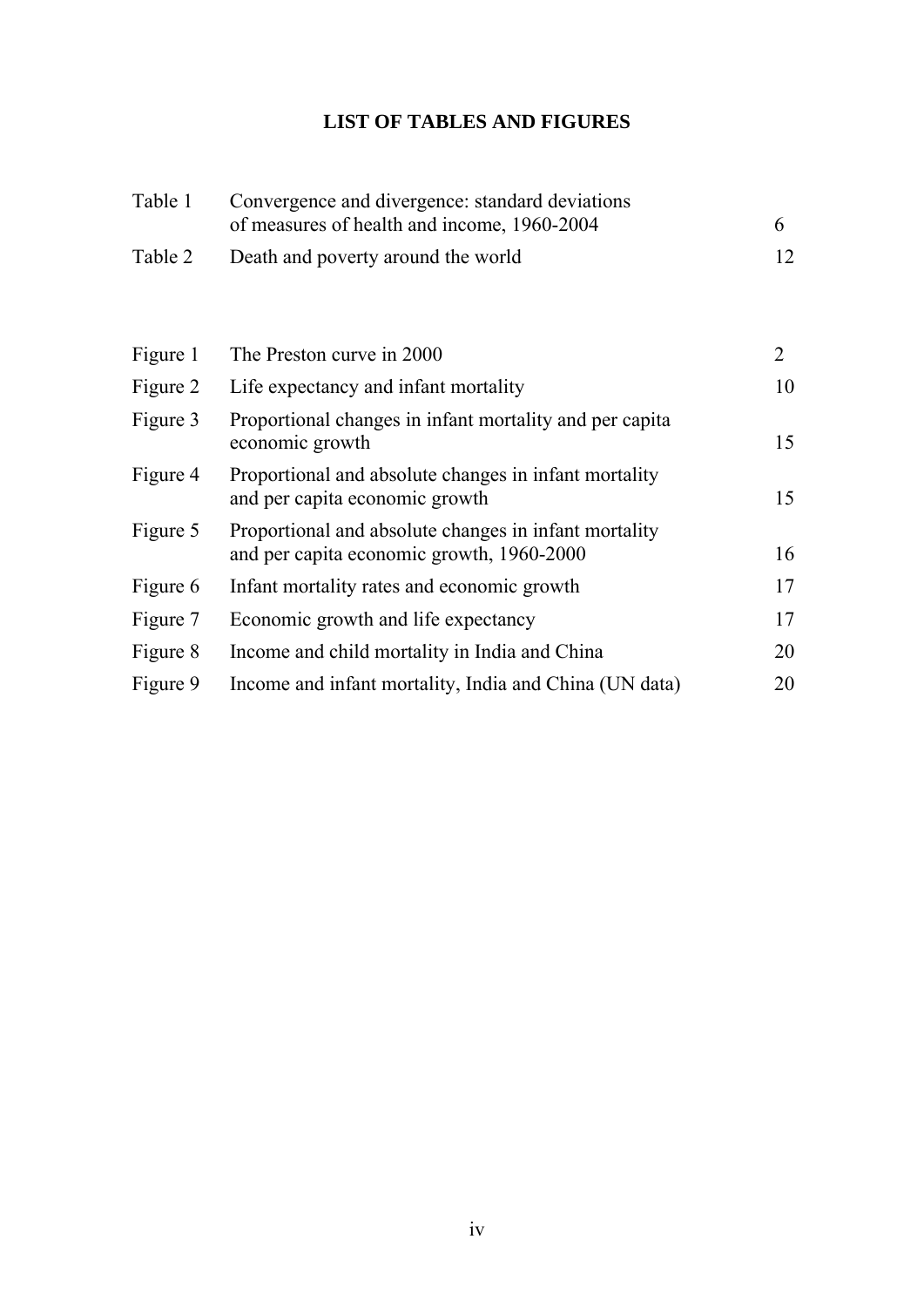## **LIST OF TABLES AND FIGURES**

| Table 1  | Convergence and divergence: standard deviations<br>of measures of health and income, 1960-2004     | 6              |
|----------|----------------------------------------------------------------------------------------------------|----------------|
| Table 2  | Death and poverty around the world                                                                 | 12             |
|          |                                                                                                    |                |
| Figure 1 | The Preston curve in 2000                                                                          | $\overline{2}$ |
| Figure 2 | Life expectancy and infant mortality                                                               | 10             |
| Figure 3 | Proportional changes in infant mortality and per capita<br>economic growth                         | 15             |
| Figure 4 | Proportional and absolute changes in infant mortality<br>and per capita economic growth            | 15             |
| Figure 5 | Proportional and absolute changes in infant mortality<br>and per capita economic growth, 1960-2000 | 16             |
| Figure 6 | Infant mortality rates and economic growth                                                         | 17             |
| Figure 7 | Economic growth and life expectancy                                                                | 17             |
| Figure 8 | Income and child mortality in India and China                                                      | 20             |
| Figure 9 | Income and infant mortality, India and China (UN data)                                             | 20             |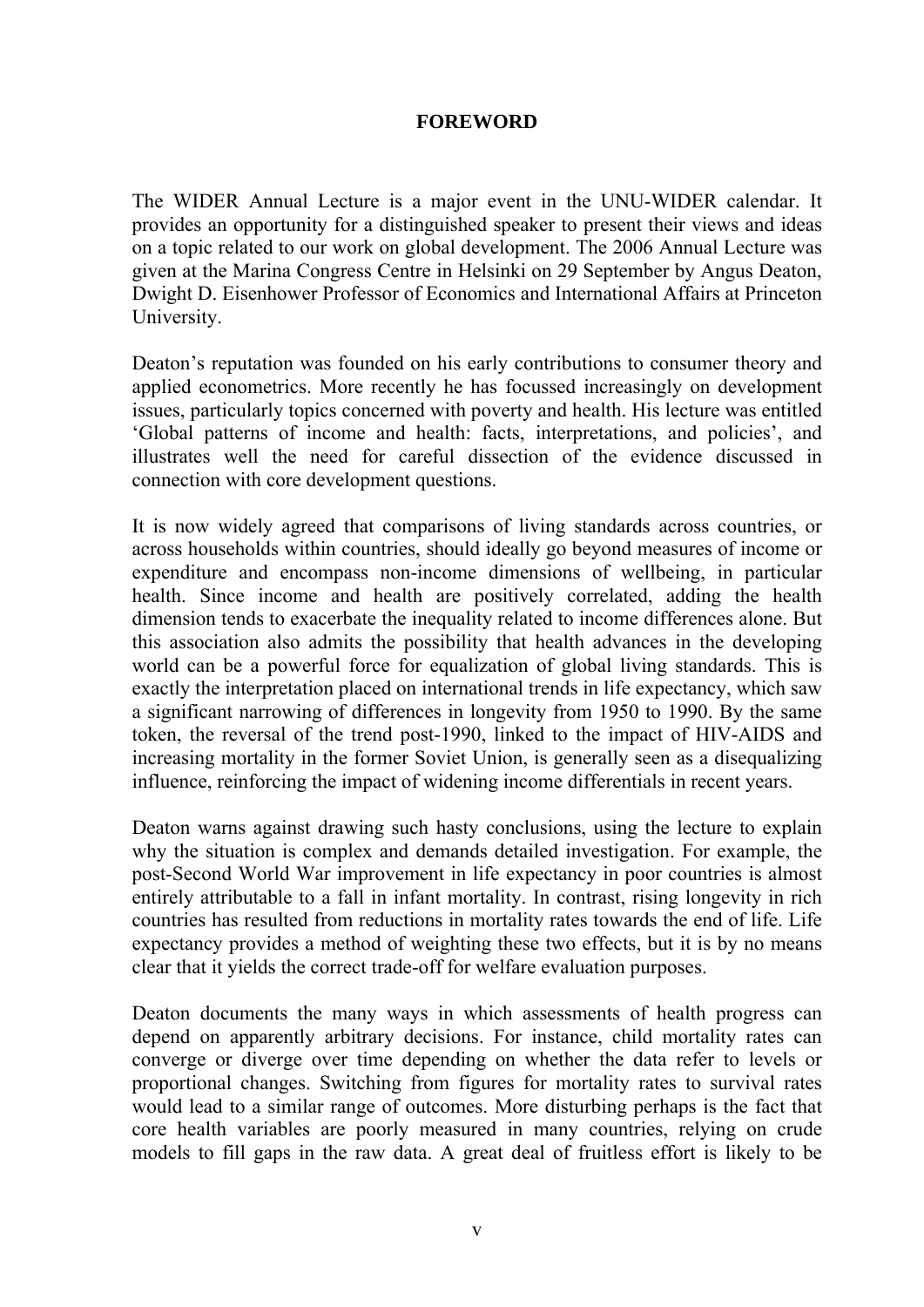#### **FOREWORD**

The WIDER Annual Lecture is a major event in the UNU-WIDER calendar. It provides an opportunity for a distinguished speaker to present their views and ideas on a topic related to our work on global development. The 2006 Annual Lecture was given at the Marina Congress Centre in Helsinki on 29 September by Angus Deaton, Dwight D. Eisenhower Professor of Economics and International Affairs at Princeton University.

Deaton's reputation was founded on his early contributions to consumer theory and applied econometrics. More recently he has focussed increasingly on development issues, particularly topics concerned with poverty and health. His lecture was entitled 'Global patterns of income and health: facts, interpretations, and policies', and illustrates well the need for careful dissection of the evidence discussed in connection with core development questions.

It is now widely agreed that comparisons of living standards across countries, or across households within countries, should ideally go beyond measures of income or expenditure and encompass non-income dimensions of wellbeing, in particular health. Since income and health are positively correlated, adding the health dimension tends to exacerbate the inequality related to income differences alone. But this association also admits the possibility that health advances in the developing world can be a powerful force for equalization of global living standards. This is exactly the interpretation placed on international trends in life expectancy, which saw a significant narrowing of differences in longevity from 1950 to 1990. By the same token, the reversal of the trend post-1990, linked to the impact of HIV-AIDS and increasing mortality in the former Soviet Union, is generally seen as a disequalizing influence, reinforcing the impact of widening income differentials in recent years.

Deaton warns against drawing such hasty conclusions, using the lecture to explain why the situation is complex and demands detailed investigation. For example, the post-Second World War improvement in life expectancy in poor countries is almost entirely attributable to a fall in infant mortality. In contrast, rising longevity in rich countries has resulted from reductions in mortality rates towards the end of life. Life expectancy provides a method of weighting these two effects, but it is by no means clear that it yields the correct trade-off for welfare evaluation purposes.

Deaton documents the many ways in which assessments of health progress can depend on apparently arbitrary decisions. For instance, child mortality rates can converge or diverge over time depending on whether the data refer to levels or proportional changes. Switching from figures for mortality rates to survival rates would lead to a similar range of outcomes. More disturbing perhaps is the fact that core health variables are poorly measured in many countries, relying on crude models to fill gaps in the raw data. A great deal of fruitless effort is likely to be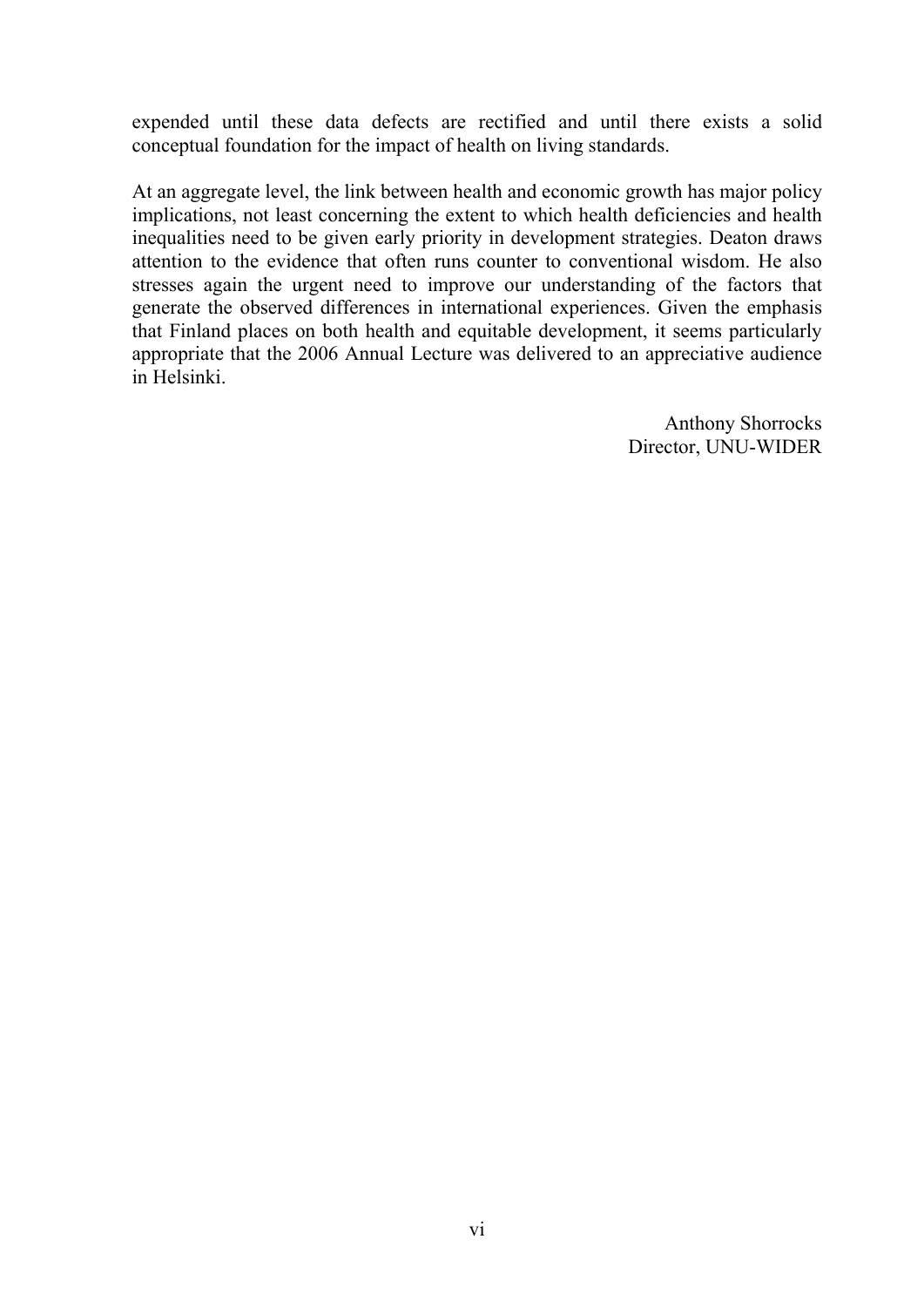expended until these data defects are rectified and until there exists a solid conceptual foundation for the impact of health on living standards.

At an aggregate level, the link between health and economic growth has major policy implications, not least concerning the extent to which health deficiencies and health inequalities need to be given early priority in development strategies. Deaton draws attention to the evidence that often runs counter to conventional wisdom. He also stresses again the urgent need to improve our understanding of the factors that generate the observed differences in international experiences. Given the emphasis that Finland places on both health and equitable development, it seems particularly appropriate that the 2006 Annual Lecture was delivered to an appreciative audience in Helsinki.

> Anthony Shorrocks Director, UNU-WIDER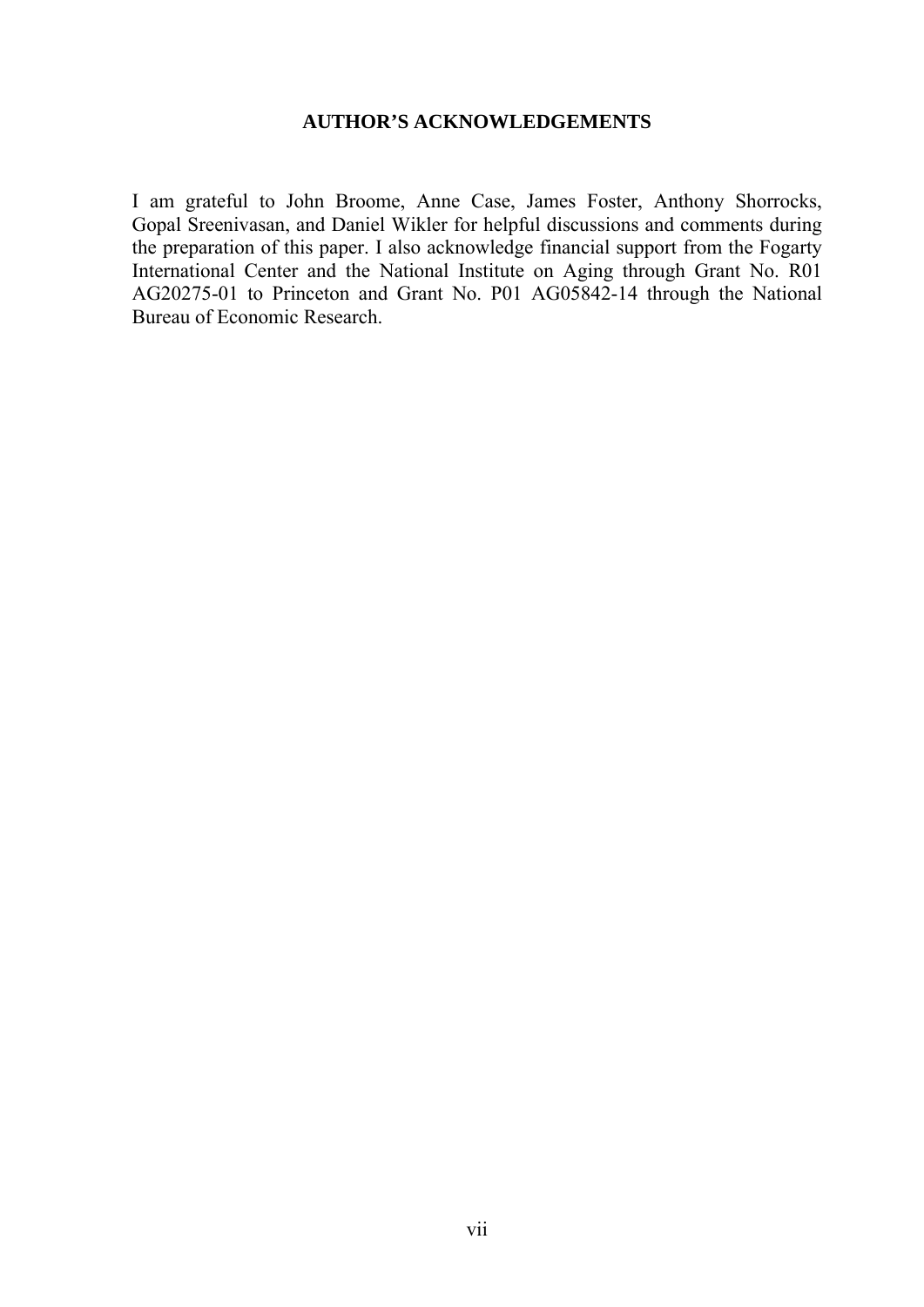#### **AUTHOR'S ACKNOWLEDGEMENTS**

I am grateful to John Broome, Anne Case, James Foster, Anthony Shorrocks, Gopal Sreenivasan, and Daniel Wikler for helpful discussions and comments during the preparation of this paper. I also acknowledge financial support from the Fogarty International Center and the National Institute on Aging through Grant No. R01 AG20275-01 to Princeton and Grant No. P01 AG05842-14 through the National Bureau of Economic Research.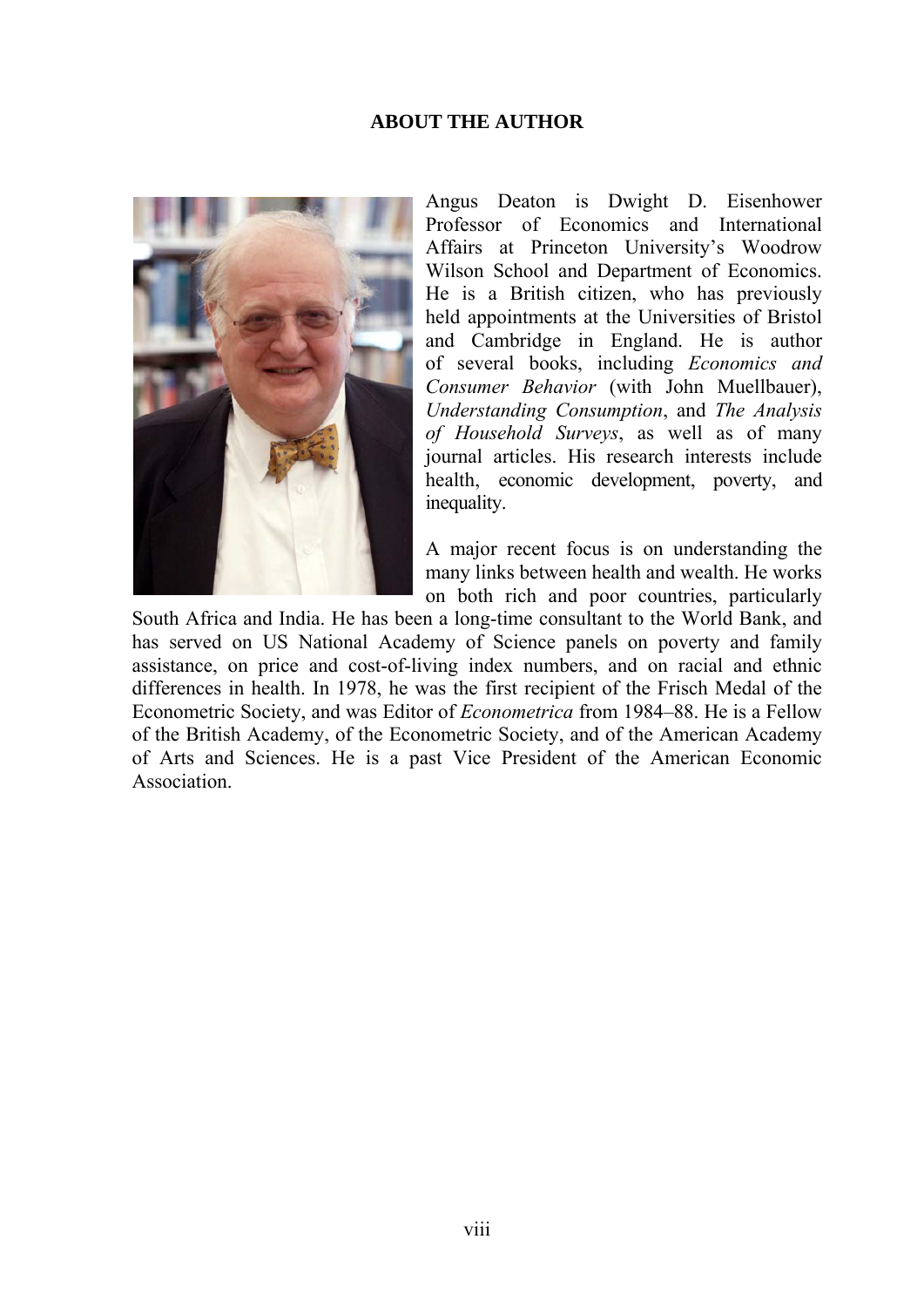#### **ABOUT THE AUTHOR**



Angus Deaton is Dwight D. Eisenhower Professor of Economics and International Affairs at Princeton University's Woodrow Wilson School and Department of Economics. He is a British citizen, who has previously held appointments at the Universities of Bristol and Cambridge in England. He is author of several books, including *Economics and Consumer Behavior* (with John Muellbauer), *Understanding Consumption*, and *The Analysis of Household Surveys*, as well as of many journal articles. His research interests include health, economic development, poverty, and inequality.

A major recent focus is on understanding the many links between health and wealth. He works on both rich and poor countries, particularly

South Africa and India. He has been a long-time consultant to the World Bank, and has served on US National Academy of Science panels on poverty and family assistance, on price and cost-of-living index numbers, and on racial and ethnic differences in health. In 1978, he was the first recipient of the Frisch Medal of the Econometric Society, and was Editor of *Econometrica* from 1984–88. He is a Fellow of the British Academy, of the Econometric Society, and of the American Academy of Arts and Sciences. He is a past Vice President of the American Economic Association.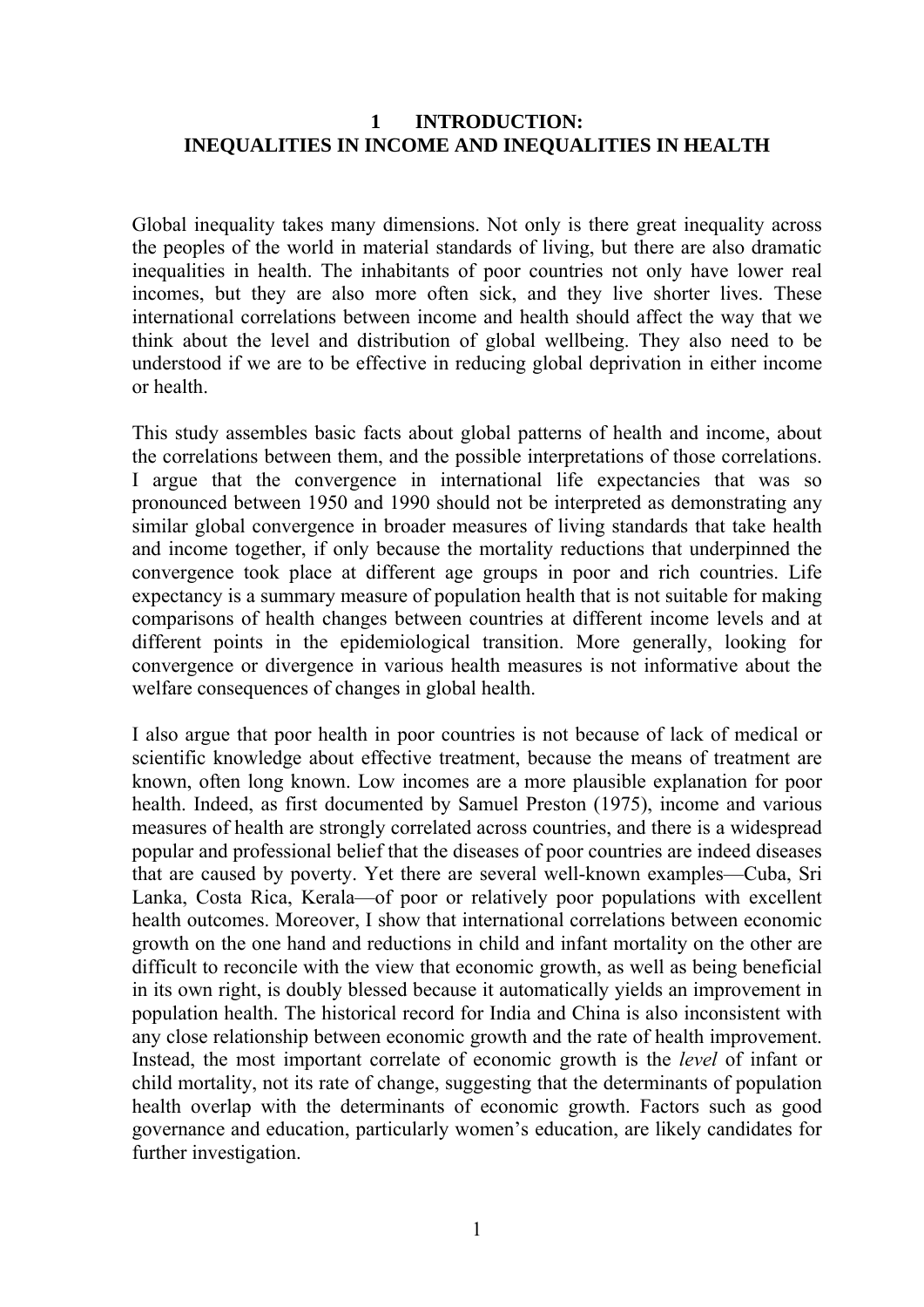#### **1 INTRODUCTION: INEQUALITIES IN INCOME AND INEQUALITIES IN HEALTH**

Global inequality takes many dimensions. Not only is there great inequality across the peoples of the world in material standards of living, but there are also dramatic inequalities in health. The inhabitants of poor countries not only have lower real incomes, but they are also more often sick, and they live shorter lives. These international correlations between income and health should affect the way that we think about the level and distribution of global wellbeing. They also need to be understood if we are to be effective in reducing global deprivation in either income or health.

This study assembles basic facts about global patterns of health and income, about the correlations between them, and the possible interpretations of those correlations. I argue that the convergence in international life expectancies that was so pronounced between 1950 and 1990 should not be interpreted as demonstrating any similar global convergence in broader measures of living standards that take health and income together, if only because the mortality reductions that underpinned the convergence took place at different age groups in poor and rich countries. Life expectancy is a summary measure of population health that is not suitable for making comparisons of health changes between countries at different income levels and at different points in the epidemiological transition. More generally, looking for convergence or divergence in various health measures is not informative about the welfare consequences of changes in global health.

I also argue that poor health in poor countries is not because of lack of medical or scientific knowledge about effective treatment, because the means of treatment are known, often long known. Low incomes are a more plausible explanation for poor health. Indeed, as first documented by Samuel Preston (1975), income and various measures of health are strongly correlated across countries, and there is a widespread popular and professional belief that the diseases of poor countries are indeed diseases that are caused by poverty. Yet there are several well-known examples—Cuba, Sri Lanka, Costa Rica, Kerala—of poor or relatively poor populations with excellent health outcomes. Moreover, I show that international correlations between economic growth on the one hand and reductions in child and infant mortality on the other are difficult to reconcile with the view that economic growth, as well as being beneficial in its own right, is doubly blessed because it automatically yields an improvement in population health. The historical record for India and China is also inconsistent with any close relationship between economic growth and the rate of health improvement. Instead, the most important correlate of economic growth is the *level* of infant or child mortality, not its rate of change, suggesting that the determinants of population health overlap with the determinants of economic growth. Factors such as good governance and education, particularly women's education, are likely candidates for further investigation.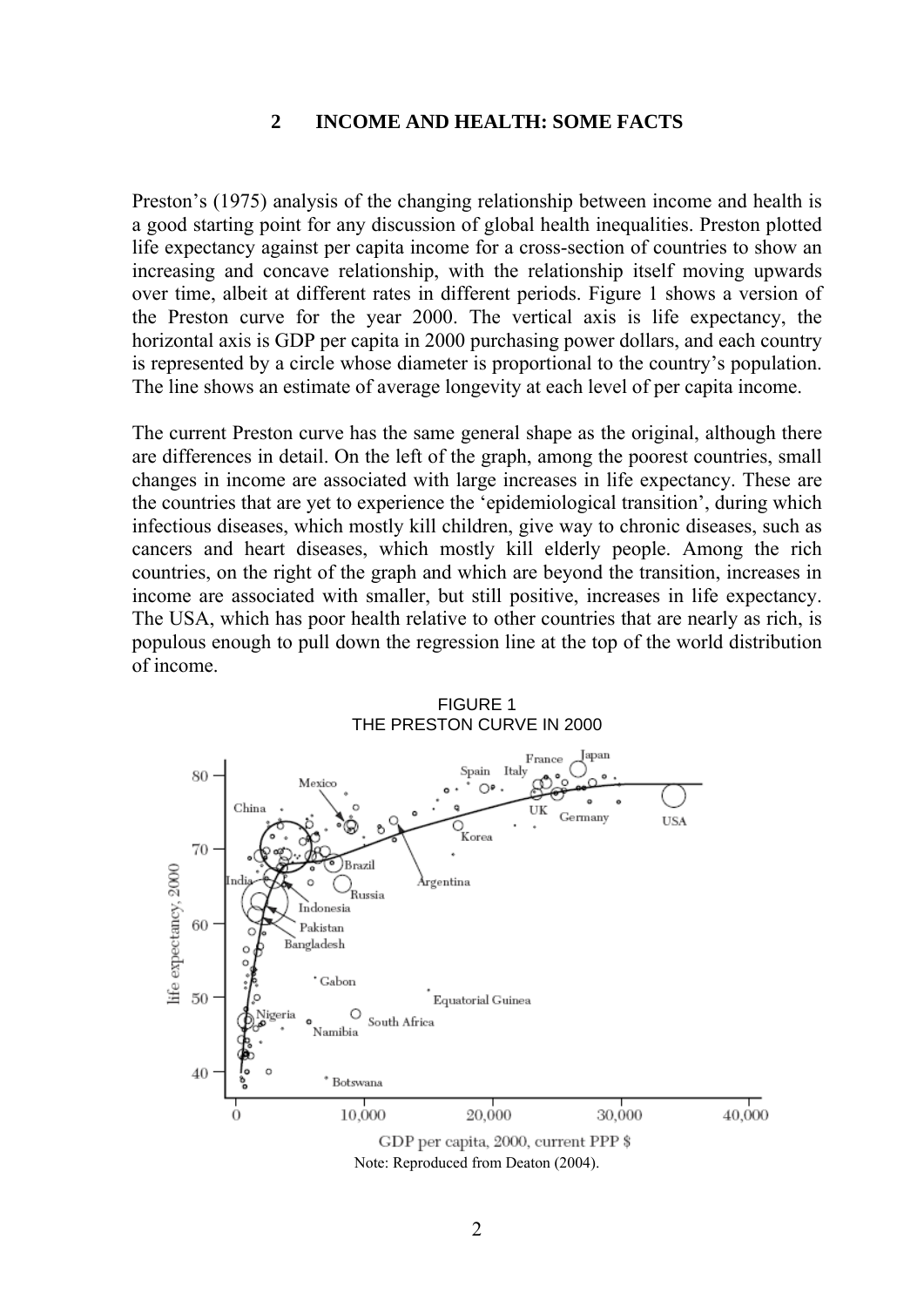#### **2 INCOME AND HEALTH: SOME FACTS**

Preston's (1975) analysis of the changing relationship between income and health is a good starting point for any discussion of global health inequalities. Preston plotted life expectancy against per capita income for a cross-section of countries to show an increasing and concave relationship, with the relationship itself moving upwards over time, albeit at different rates in different periods. Figure 1 shows a version of the Preston curve for the year 2000. The vertical axis is life expectancy, the horizontal axis is GDP per capita in 2000 purchasing power dollars, and each country is represented by a circle whose diameter is proportional to the country's population. The line shows an estimate of average longevity at each level of per capita income.

The current Preston curve has the same general shape as the original, although there are differences in detail. On the left of the graph, among the poorest countries, small changes in income are associated with large increases in life expectancy. These are the countries that are yet to experience the 'epidemiological transition', during which infectious diseases, which mostly kill children, give way to chronic diseases, such as cancers and heart diseases, which mostly kill elderly people. Among the rich countries, on the right of the graph and which are beyond the transition, increases in income are associated with smaller, but still positive, increases in life expectancy. The USA, which has poor health relative to other countries that are nearly as rich, is populous enough to pull down the regression line at the top of the world distribution of income.

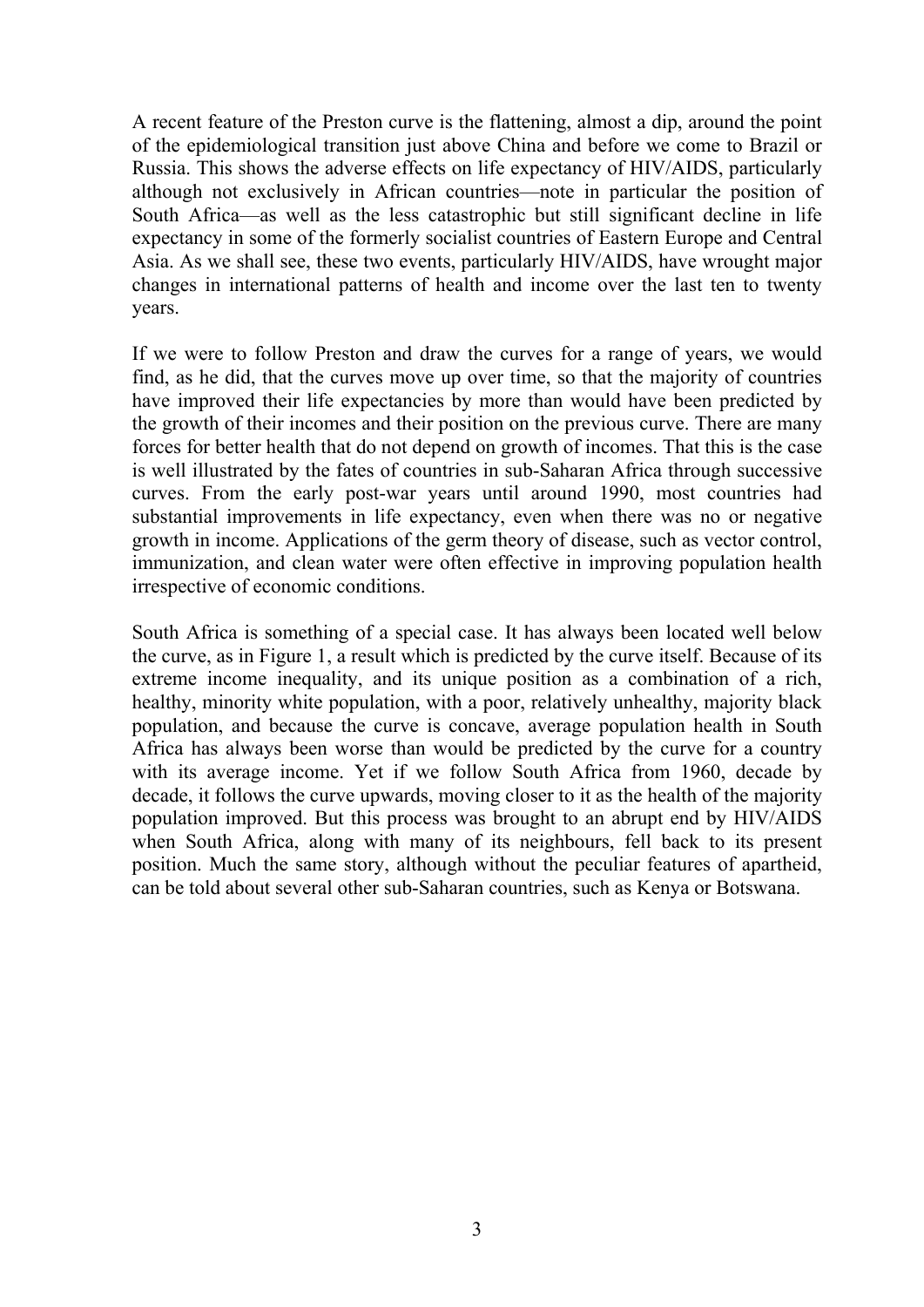A recent feature of the Preston curve is the flattening, almost a dip, around the point of the epidemiological transition just above China and before we come to Brazil or Russia. This shows the adverse effects on life expectancy of HIV/AIDS, particularly although not exclusively in African countries—note in particular the position of South Africa—as well as the less catastrophic but still significant decline in life expectancy in some of the formerly socialist countries of Eastern Europe and Central Asia. As we shall see, these two events, particularly HIV/AIDS, have wrought major changes in international patterns of health and income over the last ten to twenty years.

If we were to follow Preston and draw the curves for a range of years, we would find, as he did, that the curves move up over time, so that the majority of countries have improved their life expectancies by more than would have been predicted by the growth of their incomes and their position on the previous curve. There are many forces for better health that do not depend on growth of incomes. That this is the case is well illustrated by the fates of countries in sub-Saharan Africa through successive curves. From the early post-war years until around 1990, most countries had substantial improvements in life expectancy, even when there was no or negative growth in income. Applications of the germ theory of disease, such as vector control, immunization, and clean water were often effective in improving population health irrespective of economic conditions.

South Africa is something of a special case. It has always been located well below the curve, as in Figure 1, a result which is predicted by the curve itself. Because of its extreme income inequality, and its unique position as a combination of a rich, healthy, minority white population, with a poor, relatively unhealthy, majority black population, and because the curve is concave, average population health in South Africa has always been worse than would be predicted by the curve for a country with its average income. Yet if we follow South Africa from 1960, decade by decade, it follows the curve upwards, moving closer to it as the health of the majority population improved. But this process was brought to an abrupt end by HIV/AIDS when South Africa, along with many of its neighbours, fell back to its present position. Much the same story, although without the peculiar features of apartheid, can be told about several other sub-Saharan countries, such as Kenya or Botswana.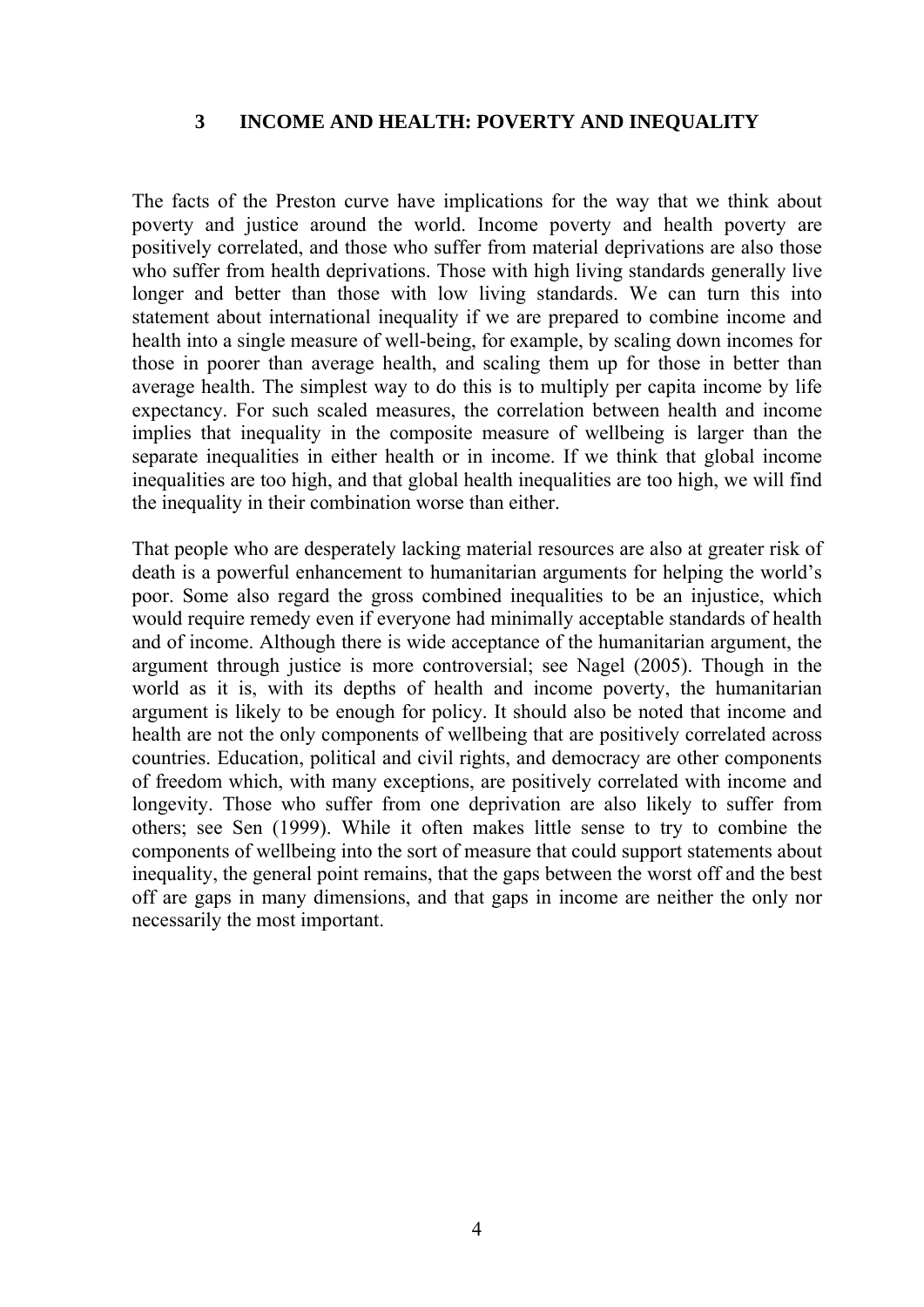#### **3 INCOME AND HEALTH: POVERTY AND INEQUALITY**

The facts of the Preston curve have implications for the way that we think about poverty and justice around the world. Income poverty and health poverty are positively correlated, and those who suffer from material deprivations are also those who suffer from health deprivations. Those with high living standards generally live longer and better than those with low living standards. We can turn this into statement about international inequality if we are prepared to combine income and health into a single measure of well-being, for example, by scaling down incomes for those in poorer than average health, and scaling them up for those in better than average health. The simplest way to do this is to multiply per capita income by life expectancy. For such scaled measures, the correlation between health and income implies that inequality in the composite measure of wellbeing is larger than the separate inequalities in either health or in income. If we think that global income inequalities are too high, and that global health inequalities are too high, we will find the inequality in their combination worse than either.

That people who are desperately lacking material resources are also at greater risk of death is a powerful enhancement to humanitarian arguments for helping the world's poor. Some also regard the gross combined inequalities to be an injustice, which would require remedy even if everyone had minimally acceptable standards of health and of income. Although there is wide acceptance of the humanitarian argument, the argument through justice is more controversial; see Nagel (2005). Though in the world as it is, with its depths of health and income poverty, the humanitarian argument is likely to be enough for policy. It should also be noted that income and health are not the only components of wellbeing that are positively correlated across countries. Education, political and civil rights, and democracy are other components of freedom which, with many exceptions, are positively correlated with income and longevity. Those who suffer from one deprivation are also likely to suffer from others; see Sen (1999). While it often makes little sense to try to combine the components of wellbeing into the sort of measure that could support statements about inequality, the general point remains, that the gaps between the worst off and the best off are gaps in many dimensions, and that gaps in income are neither the only nor necessarily the most important.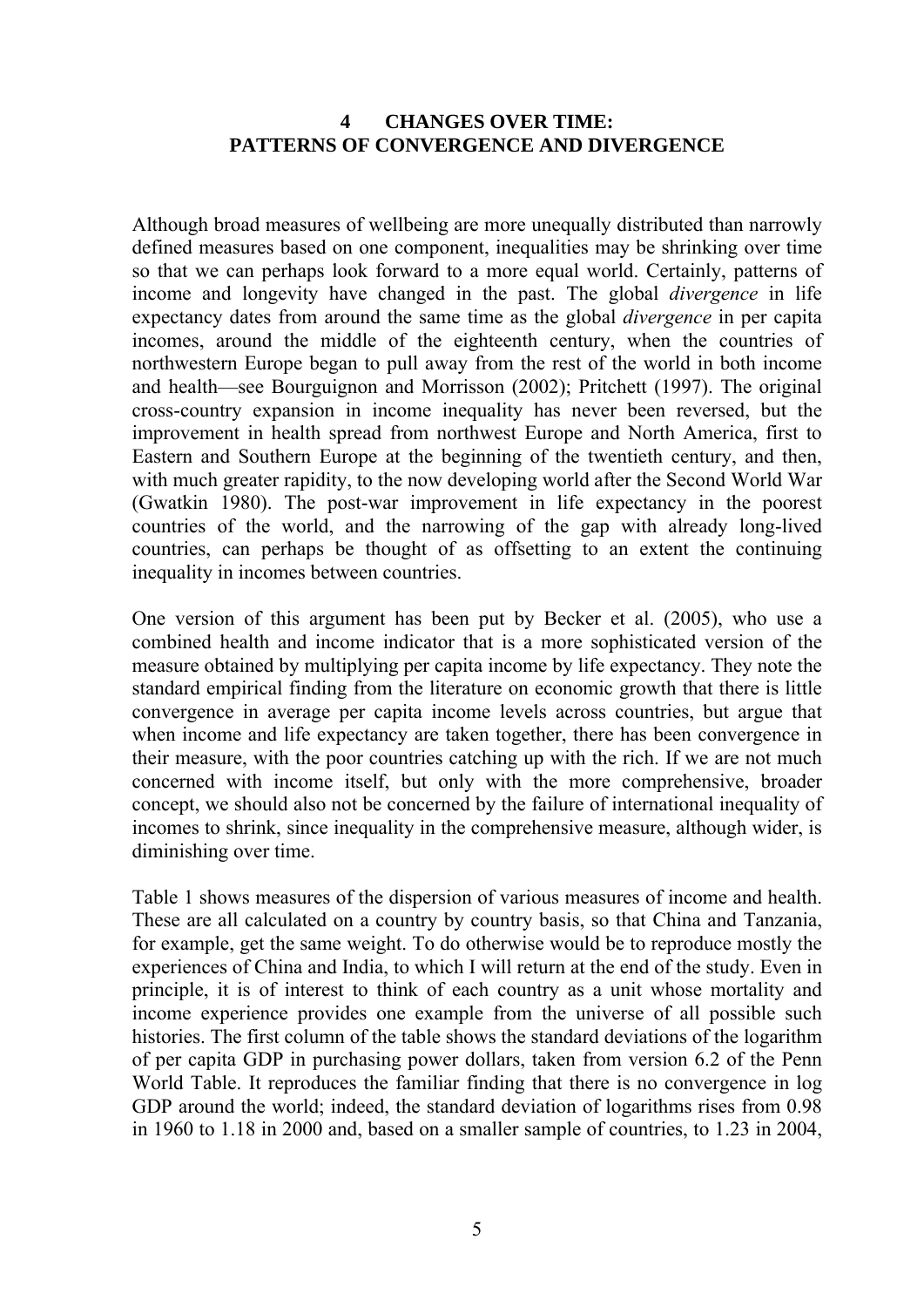#### **4 CHANGES OVER TIME: PATTERNS OF CONVERGENCE AND DIVERGENCE**

Although broad measures of wellbeing are more unequally distributed than narrowly defined measures based on one component, inequalities may be shrinking over time so that we can perhaps look forward to a more equal world. Certainly, patterns of income and longevity have changed in the past. The global *divergence* in life expectancy dates from around the same time as the global *divergence* in per capita incomes, around the middle of the eighteenth century, when the countries of northwestern Europe began to pull away from the rest of the world in both income and health—see Bourguignon and Morrisson (2002); Pritchett (1997). The original cross-country expansion in income inequality has never been reversed, but the improvement in health spread from northwest Europe and North America, first to Eastern and Southern Europe at the beginning of the twentieth century, and then, with much greater rapidity, to the now developing world after the Second World War (Gwatkin 1980). The post-war improvement in life expectancy in the poorest countries of the world, and the narrowing of the gap with already long-lived countries, can perhaps be thought of as offsetting to an extent the continuing inequality in incomes between countries.

One version of this argument has been put by Becker et al. (2005), who use a combined health and income indicator that is a more sophisticated version of the measure obtained by multiplying per capita income by life expectancy. They note the standard empirical finding from the literature on economic growth that there is little convergence in average per capita income levels across countries, but argue that when income and life expectancy are taken together, there has been convergence in their measure, with the poor countries catching up with the rich. If we are not much concerned with income itself, but only with the more comprehensive, broader concept, we should also not be concerned by the failure of international inequality of incomes to shrink, since inequality in the comprehensive measure, although wider, is diminishing over time.

Table 1 shows measures of the dispersion of various measures of income and health. These are all calculated on a country by country basis, so that China and Tanzania, for example, get the same weight. To do otherwise would be to reproduce mostly the experiences of China and India, to which I will return at the end of the study. Even in principle, it is of interest to think of each country as a unit whose mortality and income experience provides one example from the universe of all possible such histories. The first column of the table shows the standard deviations of the logarithm of per capita GDP in purchasing power dollars, taken from version 6.2 of the Penn World Table. It reproduces the familiar finding that there is no convergence in log GDP around the world; indeed, the standard deviation of logarithms rises from 0.98 in 1960 to 1.18 in 2000 and, based on a smaller sample of countries, to 1.23 in 2004,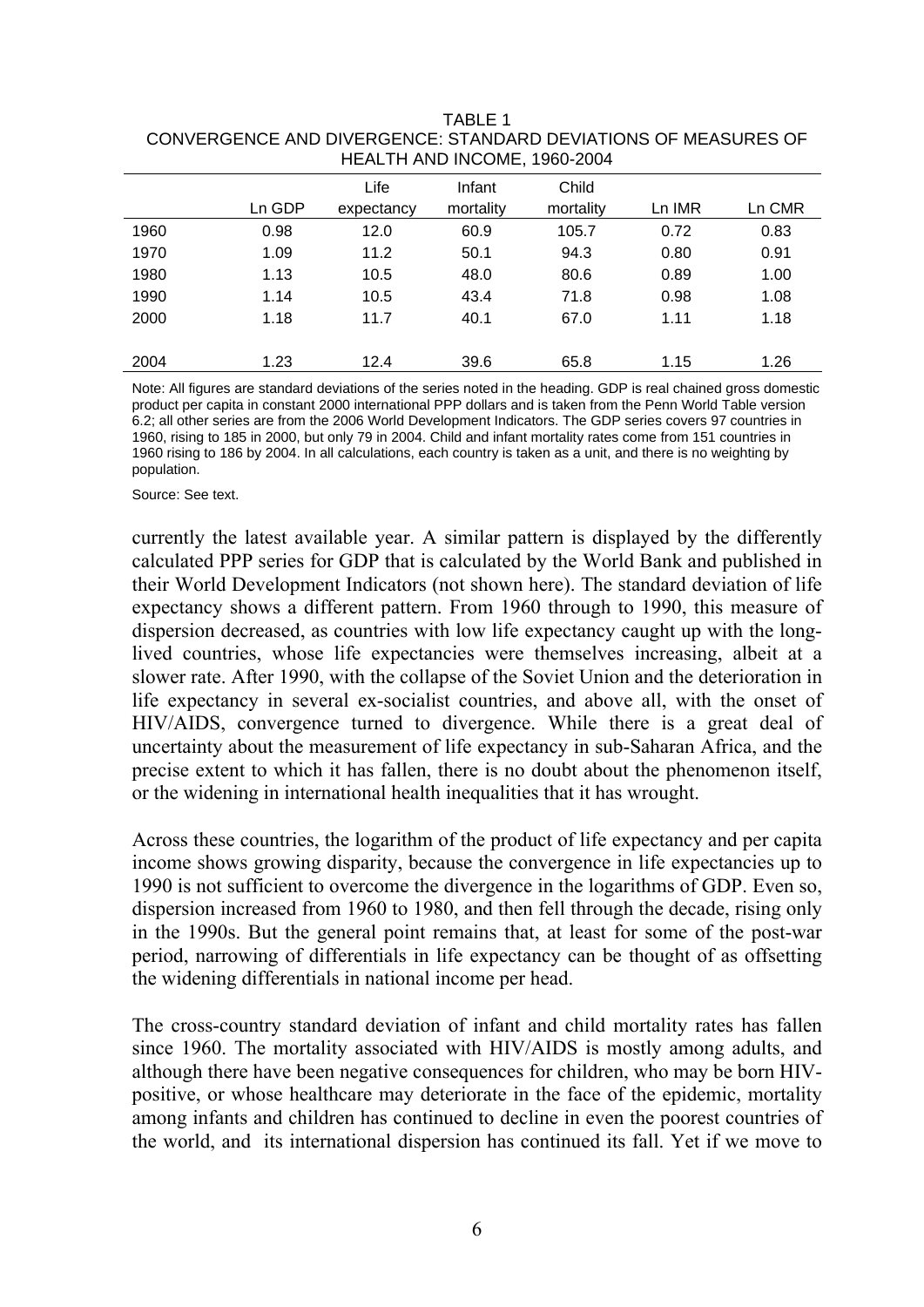| HEALTH AND INCOME, 1900-2004 |        |            |           |           |        |        |
|------------------------------|--------|------------|-----------|-----------|--------|--------|
|                              |        | Life       | Infant    | Child     |        |        |
|                              | Ln GDP | expectancy | mortality | mortality | Ln IMR | Ln CMR |
| 1960                         | 0.98   | 12.0       | 60.9      | 105.7     | 0.72   | 0.83   |
| 1970                         | 1.09   | 11.2       | 50.1      | 94.3      | 0.80   | 0.91   |
| 1980                         | 1.13   | 10.5       | 48.0      | 80.6      | 0.89   | 1.00   |
| 1990                         | 1.14   | 10.5       | 43.4      | 71.8      | 0.98   | 1.08   |
| 2000                         | 1.18   | 11.7       | 40.1      | 67.0      | 1.11   | 1.18   |
|                              |        |            |           |           |        |        |
| 2004                         | 1.23   | 12.4       | 39.6      | 65.8      | 1.15   | 1.26   |

TABLE 1 CONVERGENCE AND DIVERGENCE: STANDARD DEVIATIONS OF MEASURES OF HEALTH AND INCOME, 1960-2004

Note: All figures are standard deviations of the series noted in the heading. GDP is real chained gross domestic product per capita in constant 2000 international PPP dollars and is taken from the Penn World Table version 6.2; all other series are from the 2006 World Development Indicators. The GDP series covers 97 countries in 1960, rising to 185 in 2000, but only 79 in 2004. Child and infant mortality rates come from 151 countries in 1960 rising to 186 by 2004. In all calculations, each country is taken as a unit, and there is no weighting by population.

Source: See text.

currently the latest available year. A similar pattern is displayed by the differently calculated PPP series for GDP that is calculated by the World Bank and published in their World Development Indicators (not shown here). The standard deviation of life expectancy shows a different pattern. From 1960 through to 1990, this measure of dispersion decreased, as countries with low life expectancy caught up with the longlived countries, whose life expectancies were themselves increasing, albeit at a slower rate. After 1990, with the collapse of the Soviet Union and the deterioration in life expectancy in several ex-socialist countries, and above all, with the onset of HIV/AIDS, convergence turned to divergence. While there is a great deal of uncertainty about the measurement of life expectancy in sub-Saharan Africa, and the precise extent to which it has fallen, there is no doubt about the phenomenon itself, or the widening in international health inequalities that it has wrought.

Across these countries, the logarithm of the product of life expectancy and per capita income shows growing disparity, because the convergence in life expectancies up to 1990 is not sufficient to overcome the divergence in the logarithms of GDP. Even so, dispersion increased from 1960 to 1980, and then fell through the decade, rising only in the 1990s. But the general point remains that, at least for some of the post-war period, narrowing of differentials in life expectancy can be thought of as offsetting the widening differentials in national income per head.

The cross-country standard deviation of infant and child mortality rates has fallen since 1960. The mortality associated with HIV/AIDS is mostly among adults, and although there have been negative consequences for children, who may be born HIVpositive, or whose healthcare may deteriorate in the face of the epidemic, mortality among infants and children has continued to decline in even the poorest countries of the world, and its international dispersion has continued its fall. Yet if we move to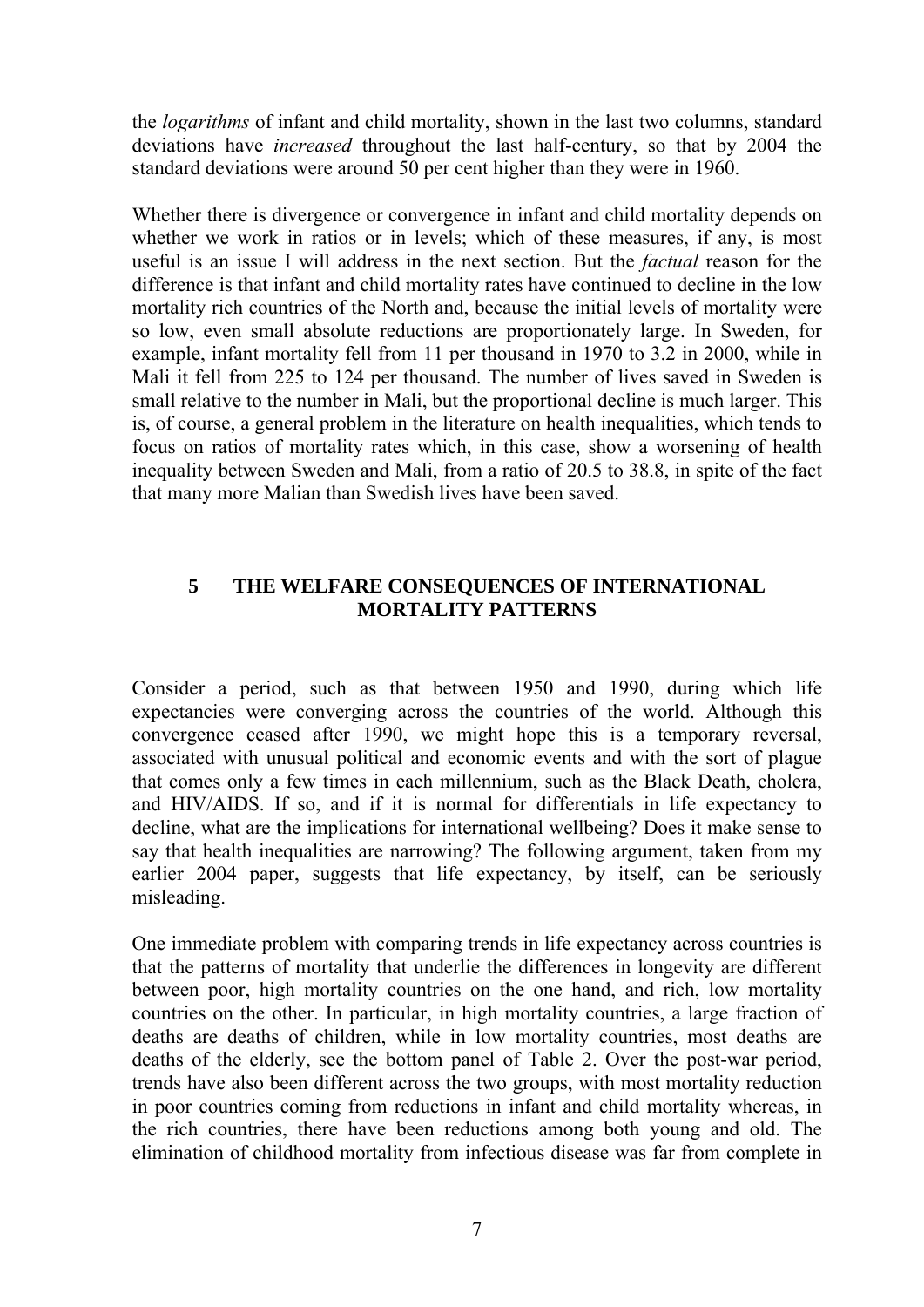the *logarithms* of infant and child mortality, shown in the last two columns, standard deviations have *increased* throughout the last half-century, so that by 2004 the standard deviations were around 50 per cent higher than they were in 1960.

Whether there is divergence or convergence in infant and child mortality depends on whether we work in ratios or in levels; which of these measures, if any, is most useful is an issue I will address in the next section. But the *factual* reason for the difference is that infant and child mortality rates have continued to decline in the low mortality rich countries of the North and, because the initial levels of mortality were so low, even small absolute reductions are proportionately large. In Sweden, for example, infant mortality fell from 11 per thousand in 1970 to 3.2 in 2000, while in Mali it fell from 225 to 124 per thousand. The number of lives saved in Sweden is small relative to the number in Mali, but the proportional decline is much larger. This is, of course, a general problem in the literature on health inequalities, which tends to focus on ratios of mortality rates which, in this case, show a worsening of health inequality between Sweden and Mali, from a ratio of 20.5 to 38.8, in spite of the fact that many more Malian than Swedish lives have been saved.

#### **5 THE WELFARE CONSEQUENCES OF INTERNATIONAL MORTALITY PATTERNS**

Consider a period, such as that between 1950 and 1990, during which life expectancies were converging across the countries of the world. Although this convergence ceased after 1990, we might hope this is a temporary reversal, associated with unusual political and economic events and with the sort of plague that comes only a few times in each millennium, such as the Black Death, cholera, and HIV/AIDS. If so, and if it is normal for differentials in life expectancy to decline, what are the implications for international wellbeing? Does it make sense to say that health inequalities are narrowing? The following argument, taken from my earlier 2004 paper, suggests that life expectancy, by itself, can be seriously misleading.

One immediate problem with comparing trends in life expectancy across countries is that the patterns of mortality that underlie the differences in longevity are different between poor, high mortality countries on the one hand, and rich, low mortality countries on the other. In particular, in high mortality countries, a large fraction of deaths are deaths of children, while in low mortality countries, most deaths are deaths of the elderly, see the bottom panel of Table 2. Over the post-war period, trends have also been different across the two groups, with most mortality reduction in poor countries coming from reductions in infant and child mortality whereas, in the rich countries, there have been reductions among both young and old. The elimination of childhood mortality from infectious disease was far from complete in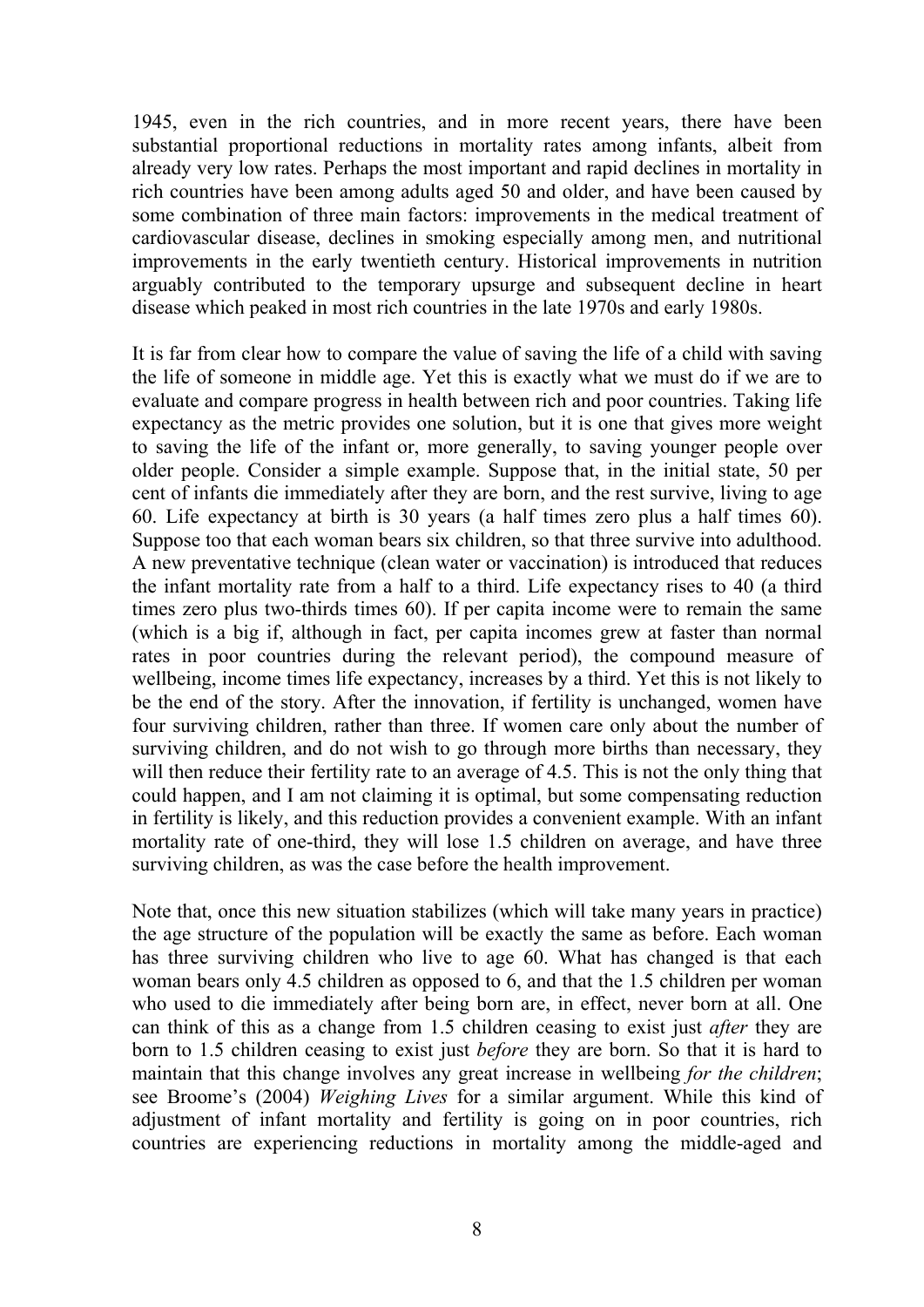1945, even in the rich countries, and in more recent years, there have been substantial proportional reductions in mortality rates among infants, albeit from already very low rates. Perhaps the most important and rapid declines in mortality in rich countries have been among adults aged 50 and older, and have been caused by some combination of three main factors: improvements in the medical treatment of cardiovascular disease, declines in smoking especially among men, and nutritional improvements in the early twentieth century. Historical improvements in nutrition arguably contributed to the temporary upsurge and subsequent decline in heart disease which peaked in most rich countries in the late 1970s and early 1980s.

It is far from clear how to compare the value of saving the life of a child with saving the life of someone in middle age. Yet this is exactly what we must do if we are to evaluate and compare progress in health between rich and poor countries. Taking life expectancy as the metric provides one solution, but it is one that gives more weight to saving the life of the infant or, more generally, to saving younger people over older people. Consider a simple example. Suppose that, in the initial state, 50 per cent of infants die immediately after they are born, and the rest survive, living to age 60. Life expectancy at birth is 30 years (a half times zero plus a half times 60). Suppose too that each woman bears six children, so that three survive into adulthood. A new preventative technique (clean water or vaccination) is introduced that reduces the infant mortality rate from a half to a third. Life expectancy rises to 40 (a third times zero plus two-thirds times 60). If per capita income were to remain the same (which is a big if, although in fact, per capita incomes grew at faster than normal rates in poor countries during the relevant period), the compound measure of wellbeing, income times life expectancy, increases by a third. Yet this is not likely to be the end of the story. After the innovation, if fertility is unchanged, women have four surviving children, rather than three. If women care only about the number of surviving children, and do not wish to go through more births than necessary, they will then reduce their fertility rate to an average of 4.5. This is not the only thing that could happen, and I am not claiming it is optimal, but some compensating reduction in fertility is likely, and this reduction provides a convenient example. With an infant mortality rate of one-third, they will lose 1.5 children on average, and have three surviving children, as was the case before the health improvement.

Note that, once this new situation stabilizes (which will take many years in practice) the age structure of the population will be exactly the same as before. Each woman has three surviving children who live to age 60. What has changed is that each woman bears only 4.5 children as opposed to 6, and that the 1.5 children per woman who used to die immediately after being born are, in effect, never born at all. One can think of this as a change from 1.5 children ceasing to exist just *after* they are born to 1.5 children ceasing to exist just *before* they are born. So that it is hard to maintain that this change involves any great increase in wellbeing *for the children*; see Broome's (2004) *Weighing Lives* for a similar argument. While this kind of adjustment of infant mortality and fertility is going on in poor countries, rich countries are experiencing reductions in mortality among the middle-aged and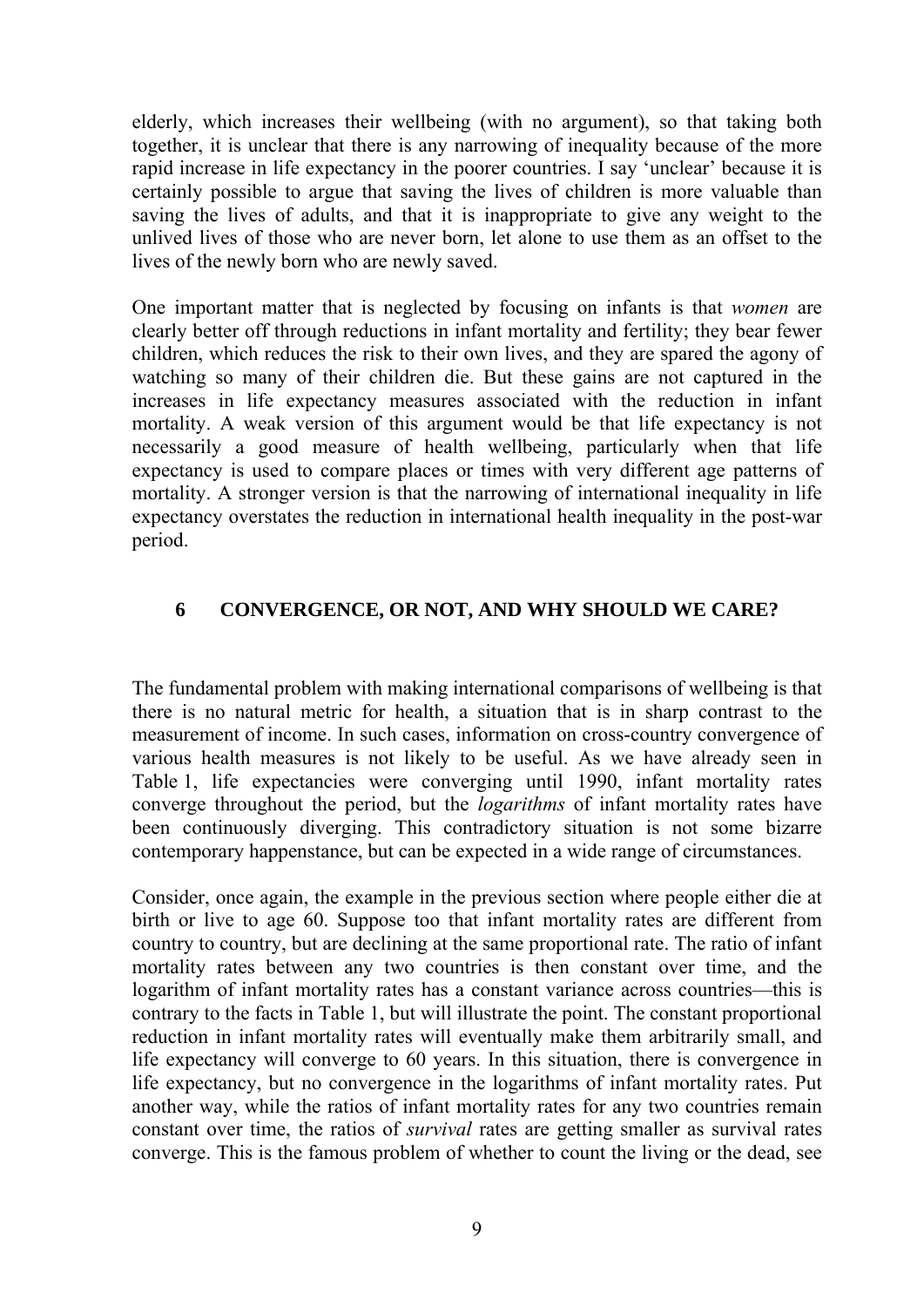elderly, which increases their wellbeing (with no argument), so that taking both together, it is unclear that there is any narrowing of inequality because of the more rapid increase in life expectancy in the poorer countries. I say 'unclear' because it is certainly possible to argue that saving the lives of children is more valuable than saving the lives of adults, and that it is inappropriate to give any weight to the unlived lives of those who are never born, let alone to use them as an offset to the lives of the newly born who are newly saved.

One important matter that is neglected by focusing on infants is that *women* are clearly better off through reductions in infant mortality and fertility; they bear fewer children, which reduces the risk to their own lives, and they are spared the agony of watching so many of their children die. But these gains are not captured in the increases in life expectancy measures associated with the reduction in infant mortality. A weak version of this argument would be that life expectancy is not necessarily a good measure of health wellbeing, particularly when that life expectancy is used to compare places or times with very different age patterns of mortality. A stronger version is that the narrowing of international inequality in life expectancy overstates the reduction in international health inequality in the post-war period.

### **6 CONVERGENCE, OR NOT, AND WHY SHOULD WE CARE?**

The fundamental problem with making international comparisons of wellbeing is that there is no natural metric for health, a situation that is in sharp contrast to the measurement of income. In such cases, information on cross-country convergence of various health measures is not likely to be useful. As we have already seen in Table 1, life expectancies were converging until 1990, infant mortality rates converge throughout the period, but the *logarithms* of infant mortality rates have been continuously diverging. This contradictory situation is not some bizarre contemporary happenstance, but can be expected in a wide range of circumstances.

Consider, once again, the example in the previous section where people either die at birth or live to age 60. Suppose too that infant mortality rates are different from country to country, but are declining at the same proportional rate. The ratio of infant mortality rates between any two countries is then constant over time, and the logarithm of infant mortality rates has a constant variance across countries—this is contrary to the facts in Table 1, but will illustrate the point. The constant proportional reduction in infant mortality rates will eventually make them arbitrarily small, and life expectancy will converge to 60 years. In this situation, there is convergence in life expectancy, but no convergence in the logarithms of infant mortality rates. Put another way, while the ratios of infant mortality rates for any two countries remain constant over time, the ratios of *survival* rates are getting smaller as survival rates converge. This is the famous problem of whether to count the living or the dead, see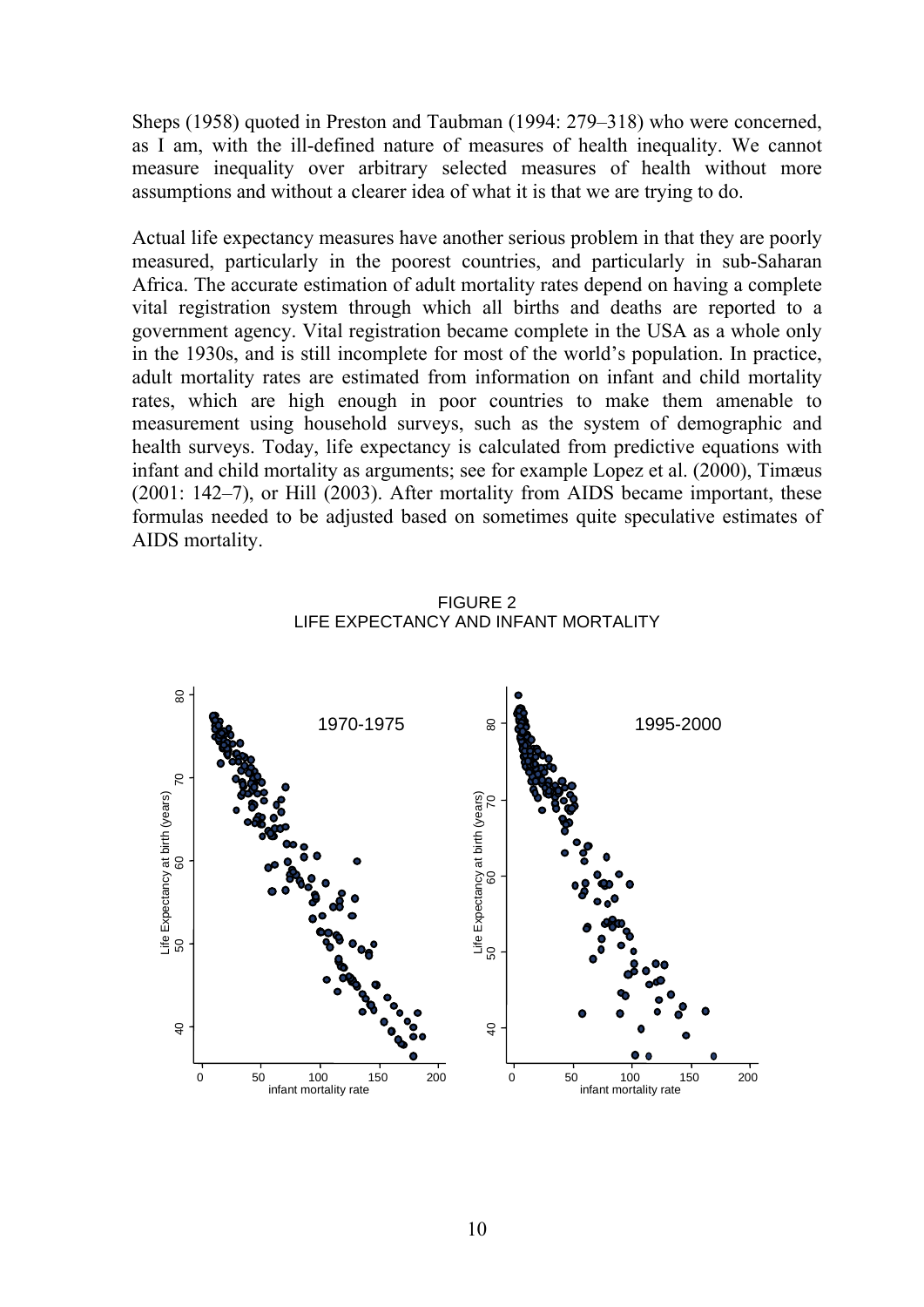Sheps (1958) quoted in Preston and Taubman (1994: 279–318) who were concerned, as I am, with the ill-defined nature of measures of health inequality. We cannot measure inequality over arbitrary selected measures of health without more assumptions and without a clearer idea of what it is that we are trying to do.

Actual life expectancy measures have another serious problem in that they are poorly measured, particularly in the poorest countries, and particularly in sub-Saharan Africa. The accurate estimation of adult mortality rates depend on having a complete vital registration system through which all births and deaths are reported to a government agency. Vital registration became complete in the USA as a whole only in the 1930s, and is still incomplete for most of the world's population. In practice, adult mortality rates are estimated from information on infant and child mortality rates, which are high enough in poor countries to make them amenable to measurement using household surveys, such as the system of demographic and health surveys. Today, life expectancy is calculated from predictive equations with infant and child mortality as arguments; see for example Lopez et al. (2000), Timæus (2001: 142–7), or Hill (2003). After mortality from AIDS became important, these formulas needed to be adjusted based on sometimes quite speculative estimates of AIDS mortality.



FIGURE 2 LIFE EXPECTANCY AND INFANT MORTALITY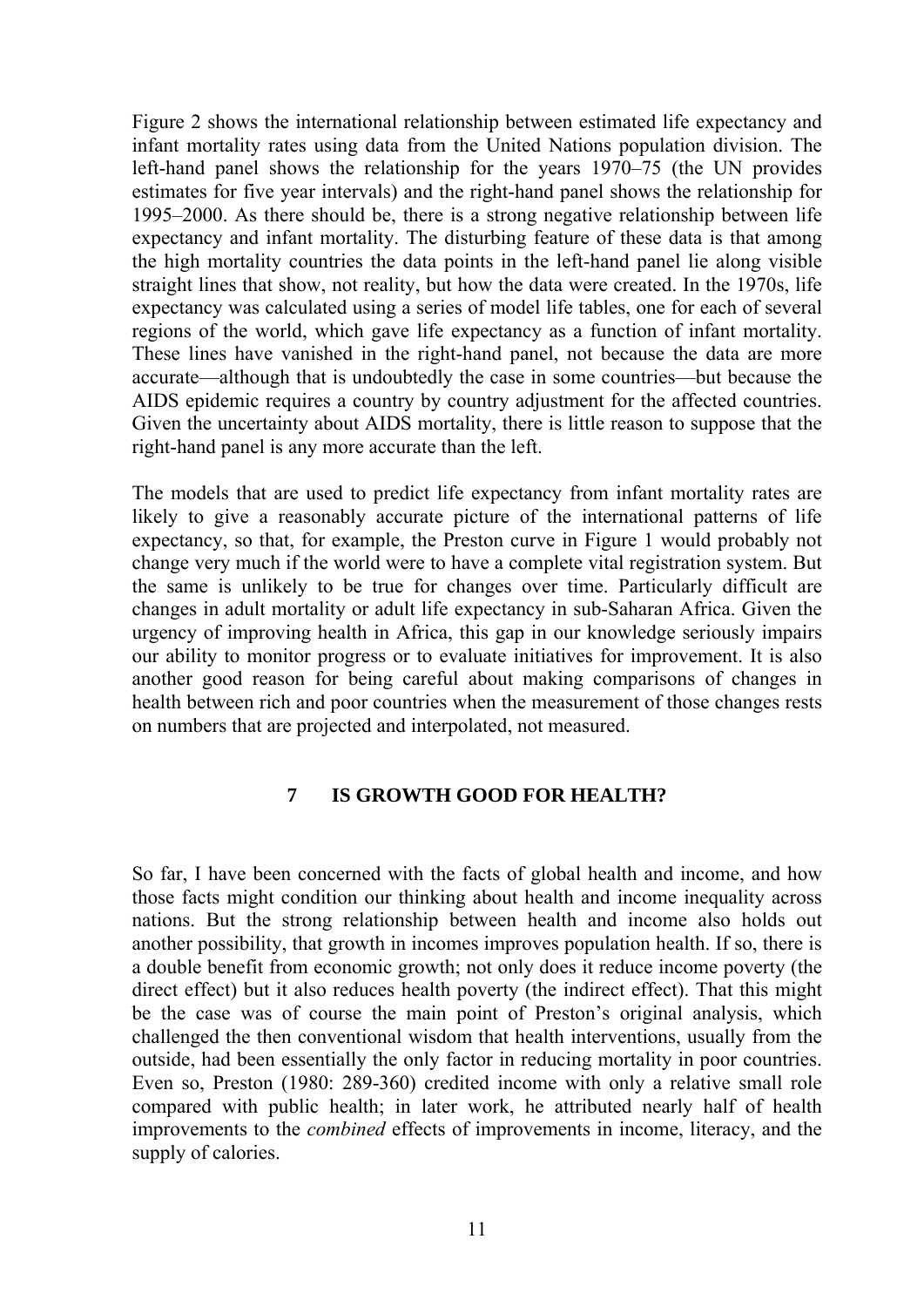Figure 2 shows the international relationship between estimated life expectancy and infant mortality rates using data from the United Nations population division. The left-hand panel shows the relationship for the years 1970–75 (the UN provides estimates for five year intervals) and the right-hand panel shows the relationship for 1995–2000. As there should be, there is a strong negative relationship between life expectancy and infant mortality. The disturbing feature of these data is that among the high mortality countries the data points in the left-hand panel lie along visible straight lines that show, not reality, but how the data were created. In the 1970s, life expectancy was calculated using a series of model life tables, one for each of several regions of the world, which gave life expectancy as a function of infant mortality. These lines have vanished in the right-hand panel, not because the data are more accurate—although that is undoubtedly the case in some countries—but because the AIDS epidemic requires a country by country adjustment for the affected countries. Given the uncertainty about AIDS mortality, there is little reason to suppose that the right-hand panel is any more accurate than the left.

The models that are used to predict life expectancy from infant mortality rates are likely to give a reasonably accurate picture of the international patterns of life expectancy, so that, for example, the Preston curve in Figure 1 would probably not change very much if the world were to have a complete vital registration system. But the same is unlikely to be true for changes over time. Particularly difficult are changes in adult mortality or adult life expectancy in sub-Saharan Africa. Given the urgency of improving health in Africa, this gap in our knowledge seriously impairs our ability to monitor progress or to evaluate initiatives for improvement. It is also another good reason for being careful about making comparisons of changes in health between rich and poor countries when the measurement of those changes rests on numbers that are projected and interpolated, not measured.

#### **7 IS GROWTH GOOD FOR HEALTH?**

So far, I have been concerned with the facts of global health and income, and how those facts might condition our thinking about health and income inequality across nations. But the strong relationship between health and income also holds out another possibility, that growth in incomes improves population health. If so, there is a double benefit from economic growth; not only does it reduce income poverty (the direct effect) but it also reduces health poverty (the indirect effect). That this might be the case was of course the main point of Preston's original analysis, which challenged the then conventional wisdom that health interventions, usually from the outside, had been essentially the only factor in reducing mortality in poor countries. Even so, Preston (1980: 289-360) credited income with only a relative small role compared with public health; in later work, he attributed nearly half of health improvements to the *combined* effects of improvements in income, literacy, and the supply of calories.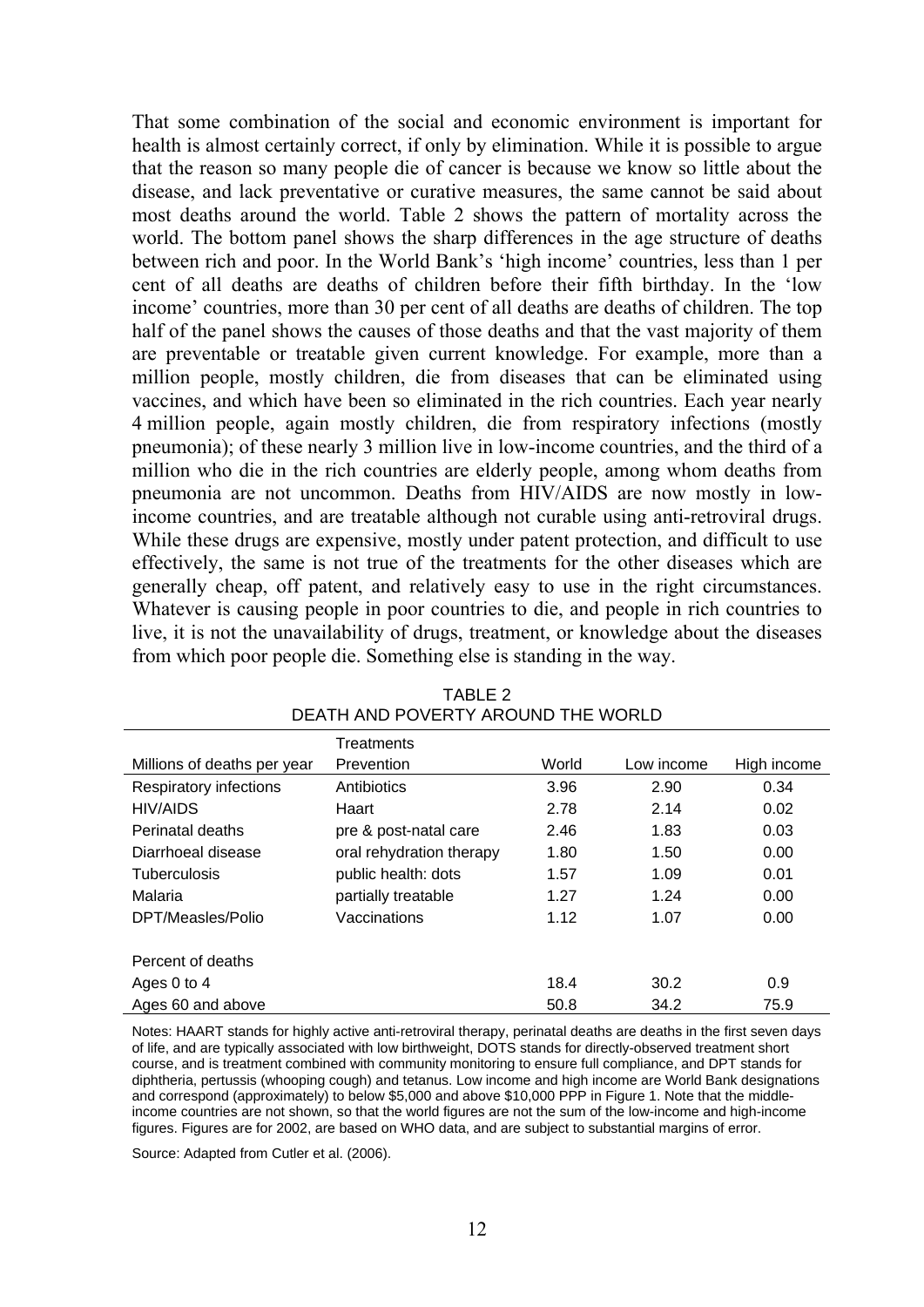That some combination of the social and economic environment is important for health is almost certainly correct, if only by elimination. While it is possible to argue that the reason so many people die of cancer is because we know so little about the disease, and lack preventative or curative measures, the same cannot be said about most deaths around the world. Table 2 shows the pattern of mortality across the world. The bottom panel shows the sharp differences in the age structure of deaths between rich and poor. In the World Bank's 'high income' countries, less than 1 per cent of all deaths are deaths of children before their fifth birthday. In the 'low income' countries, more than 30 per cent of all deaths are deaths of children. The top half of the panel shows the causes of those deaths and that the vast majority of them are preventable or treatable given current knowledge. For example, more than a million people, mostly children, die from diseases that can be eliminated using vaccines, and which have been so eliminated in the rich countries. Each year nearly 4 million people, again mostly children, die from respiratory infections (mostly pneumonia); of these nearly 3 million live in low-income countries, and the third of a million who die in the rich countries are elderly people, among whom deaths from pneumonia are not uncommon. Deaths from HIV/AIDS are now mostly in lowincome countries, and are treatable although not curable using anti-retroviral drugs. While these drugs are expensive, mostly under patent protection, and difficult to use effectively, the same is not true of the treatments for the other diseases which are generally cheap, off patent, and relatively easy to use in the right circumstances. Whatever is causing people in poor countries to die, and people in rich countries to live, it is not the unavailability of drugs, treatment, or knowledge about the diseases from which poor people die. Something else is standing in the way.

|                             | <b>Treatments</b>        |       |            |             |
|-----------------------------|--------------------------|-------|------------|-------------|
| Millions of deaths per year | Prevention               | World | Low income | High income |
| Respiratory infections      | Antibiotics              | 3.96  | 2.90       | 0.34        |
| <b>HIV/AIDS</b>             | Haart                    | 2.78  | 2.14       | 0.02        |
| Perinatal deaths            | pre & post-natal care    | 2.46  | 1.83       | 0.03        |
| Diarrhoeal disease          | oral rehydration therapy | 1.80  | 1.50       | 0.00        |
| <b>Tuberculosis</b>         | public health: dots      | 1.57  | 1.09       | 0.01        |
| Malaria                     | partially treatable      | 1.27  | 1.24       | 0.00        |
| DPT/Measles/Polio           | Vaccinations             | 1.12  | 1.07       | 0.00        |
|                             |                          |       |            |             |
| Percent of deaths           |                          |       |            |             |
| Ages 0 to 4                 |                          | 18.4  | 30.2       | 0.9         |
| Ages 60 and above           |                          | 50.8  | 34.2       | 75.9        |

| TABLE 2                            |
|------------------------------------|
| DEATH AND POVERTY AROUND THE WORLD |

Notes: HAART stands for highly active anti-retroviral therapy, perinatal deaths are deaths in the first seven days of life, and are typically associated with low birthweight, DOTS stands for directly-observed treatment short course, and is treatment combined with community monitoring to ensure full compliance, and DPT stands for diphtheria, pertussis (whooping cough) and tetanus. Low income and high income are World Bank designations and correspond (approximately) to below \$5,000 and above \$10,000 PPP in Figure 1. Note that the middleincome countries are not shown, so that the world figures are not the sum of the low-income and high-income figures. Figures are for 2002, are based on WHO data, and are subject to substantial margins of error.

Source: Adapted from Cutler et al. (2006).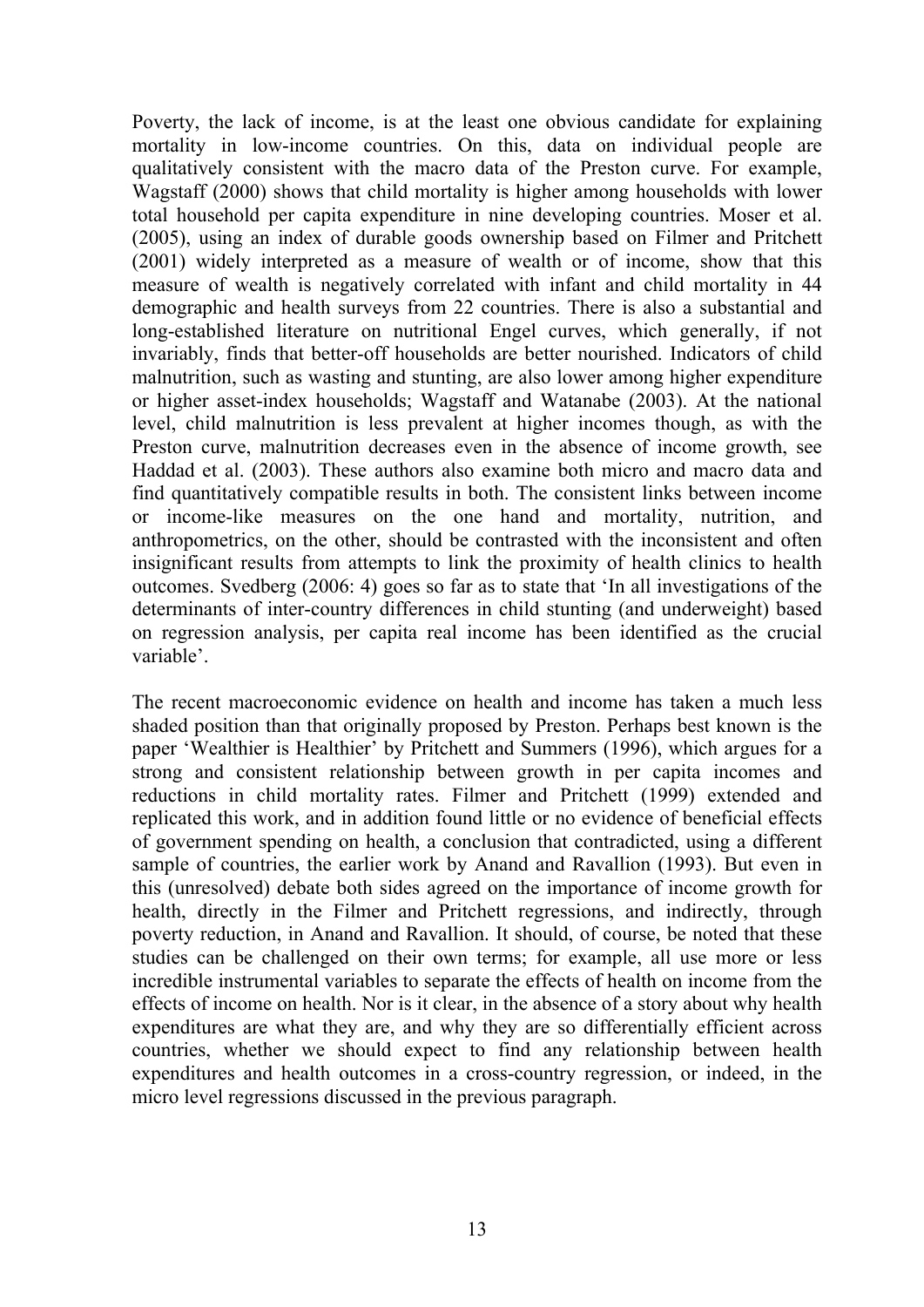Poverty, the lack of income, is at the least one obvious candidate for explaining mortality in low-income countries. On this, data on individual people are qualitatively consistent with the macro data of the Preston curve. For example, Wagstaff (2000) shows that child mortality is higher among households with lower total household per capita expenditure in nine developing countries. Moser et al. (2005), using an index of durable goods ownership based on Filmer and Pritchett (2001) widely interpreted as a measure of wealth or of income, show that this measure of wealth is negatively correlated with infant and child mortality in 44 demographic and health surveys from 22 countries. There is also a substantial and long-established literature on nutritional Engel curves, which generally, if not invariably, finds that better-off households are better nourished. Indicators of child malnutrition, such as wasting and stunting, are also lower among higher expenditure or higher asset-index households; Wagstaff and Watanabe (2003). At the national level, child malnutrition is less prevalent at higher incomes though, as with the Preston curve, malnutrition decreases even in the absence of income growth, see Haddad et al. (2003). These authors also examine both micro and macro data and find quantitatively compatible results in both. The consistent links between income or income-like measures on the one hand and mortality, nutrition, and anthropometrics, on the other, should be contrasted with the inconsistent and often insignificant results from attempts to link the proximity of health clinics to health outcomes. Svedberg (2006: 4) goes so far as to state that 'In all investigations of the determinants of inter-country differences in child stunting (and underweight) based on regression analysis, per capita real income has been identified as the crucial variable'.

The recent macroeconomic evidence on health and income has taken a much less shaded position than that originally proposed by Preston. Perhaps best known is the paper 'Wealthier is Healthier' by Pritchett and Summers (1996), which argues for a strong and consistent relationship between growth in per capita incomes and reductions in child mortality rates. Filmer and Pritchett (1999) extended and replicated this work, and in addition found little or no evidence of beneficial effects of government spending on health, a conclusion that contradicted, using a different sample of countries, the earlier work by Anand and Ravallion (1993). But even in this (unresolved) debate both sides agreed on the importance of income growth for health, directly in the Filmer and Pritchett regressions, and indirectly, through poverty reduction, in Anand and Ravallion. It should, of course, be noted that these studies can be challenged on their own terms; for example, all use more or less incredible instrumental variables to separate the effects of health on income from the effects of income on health. Nor is it clear, in the absence of a story about why health expenditures are what they are, and why they are so differentially efficient across countries, whether we should expect to find any relationship between health expenditures and health outcomes in a cross-country regression, or indeed, in the micro level regressions discussed in the previous paragraph.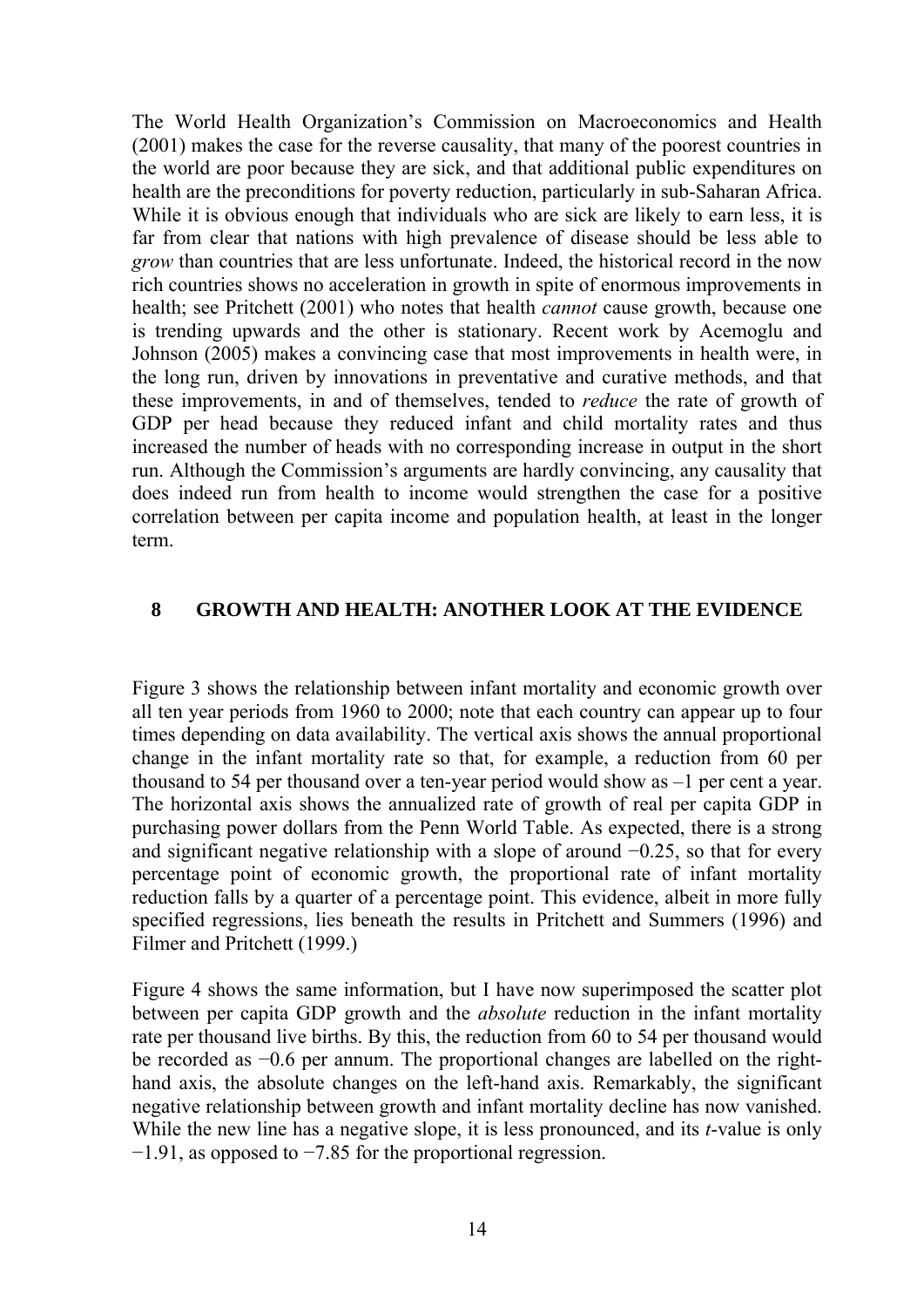The World Health Organization's Commission on Macroeconomics and Health (2001) makes the case for the reverse causality, that many of the poorest countries in the world are poor because they are sick, and that additional public expenditures on health are the preconditions for poverty reduction, particularly in sub-Saharan Africa. While it is obvious enough that individuals who are sick are likely to earn less, it is far from clear that nations with high prevalence of disease should be less able to *grow* than countries that are less unfortunate. Indeed, the historical record in the now rich countries shows no acceleration in growth in spite of enormous improvements in health; see Pritchett (2001) who notes that health *cannot* cause growth, because one is trending upwards and the other is stationary. Recent work by Acemoglu and Johnson (2005) makes a convincing case that most improvements in health were, in the long run, driven by innovations in preventative and curative methods, and that these improvements, in and of themselves, tended to *reduce* the rate of growth of GDP per head because they reduced infant and child mortality rates and thus increased the number of heads with no corresponding increase in output in the short run. Although the Commission's arguments are hardly convincing, any causality that does indeed run from health to income would strengthen the case for a positive correlation between per capita income and population health, at least in the longer term.

#### **8 GROWTH AND HEALTH: ANOTHER LOOK AT THE EVIDENCE**

Figure 3 shows the relationship between infant mortality and economic growth over all ten year periods from 1960 to 2000; note that each country can appear up to four times depending on data availability. The vertical axis shows the annual proportional change in the infant mortality rate so that, for example, a reduction from 60 per thousand to 54 per thousand over a ten-year period would show as –1 per cent a year. The horizontal axis shows the annualized rate of growth of real per capita GDP in purchasing power dollars from the Penn World Table. As expected, there is a strong and significant negative relationship with a slope of around −0.25, so that for every percentage point of economic growth, the proportional rate of infant mortality reduction falls by a quarter of a percentage point. This evidence, albeit in more fully specified regressions, lies beneath the results in Pritchett and Summers (1996) and Filmer and Pritchett (1999.)

Figure 4 shows the same information, but I have now superimposed the scatter plot between per capita GDP growth and the *absolute* reduction in the infant mortality rate per thousand live births. By this, the reduction from 60 to 54 per thousand would be recorded as −0.6 per annum. The proportional changes are labelled on the righthand axis, the absolute changes on the left-hand axis. Remarkably, the significant negative relationship between growth and infant mortality decline has now vanished. While the new line has a negative slope, it is less pronounced, and its *t*-value is only −1.91, as opposed to −7.85 for the proportional regression.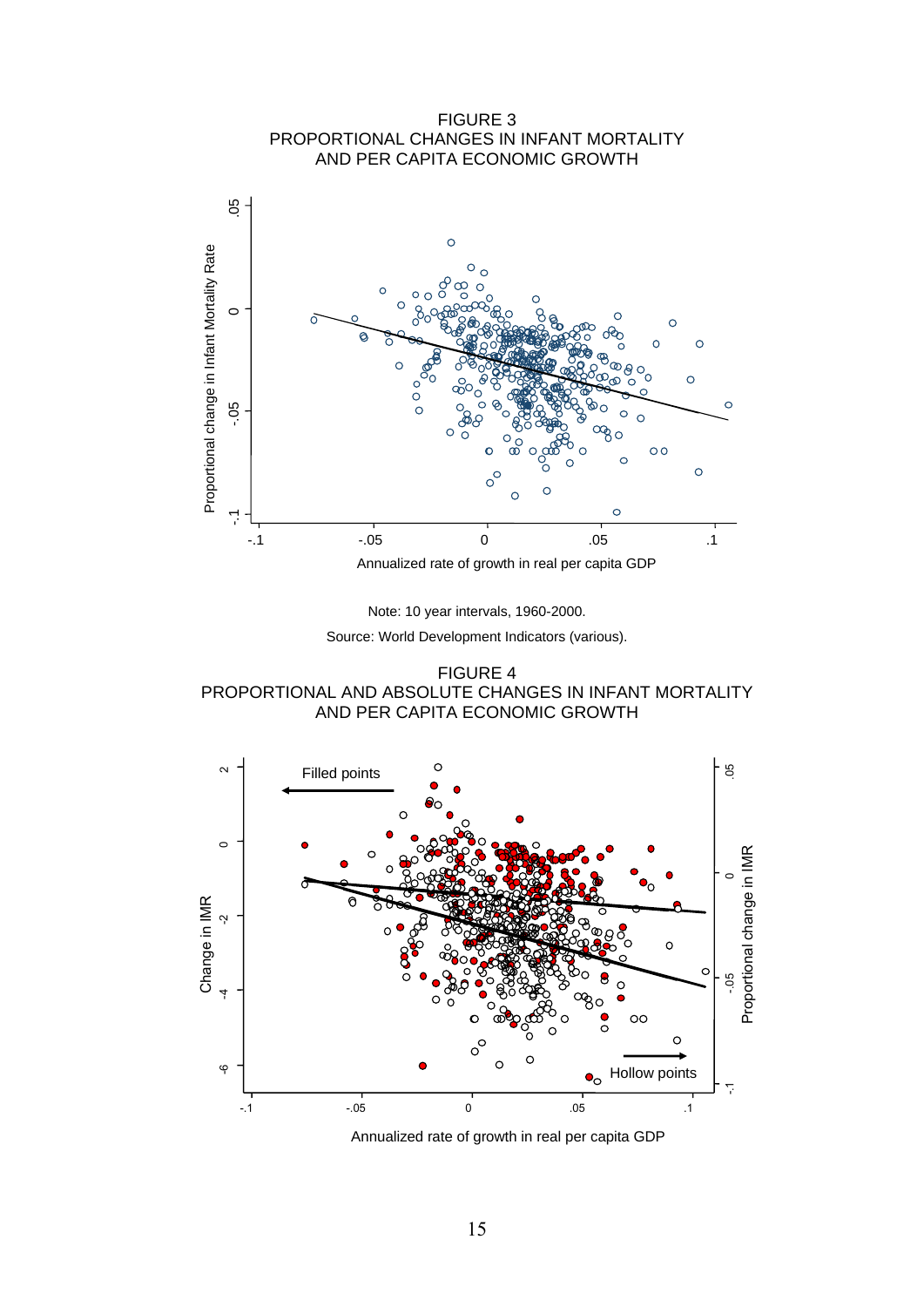



FIGURE 4 PROPORTIONAL AND ABSOLUTE CHANGES IN INFANT MORTALITY AND PER CAPITA ECONOMIC GROWTH



Annualized rate of growth in real per capita GDP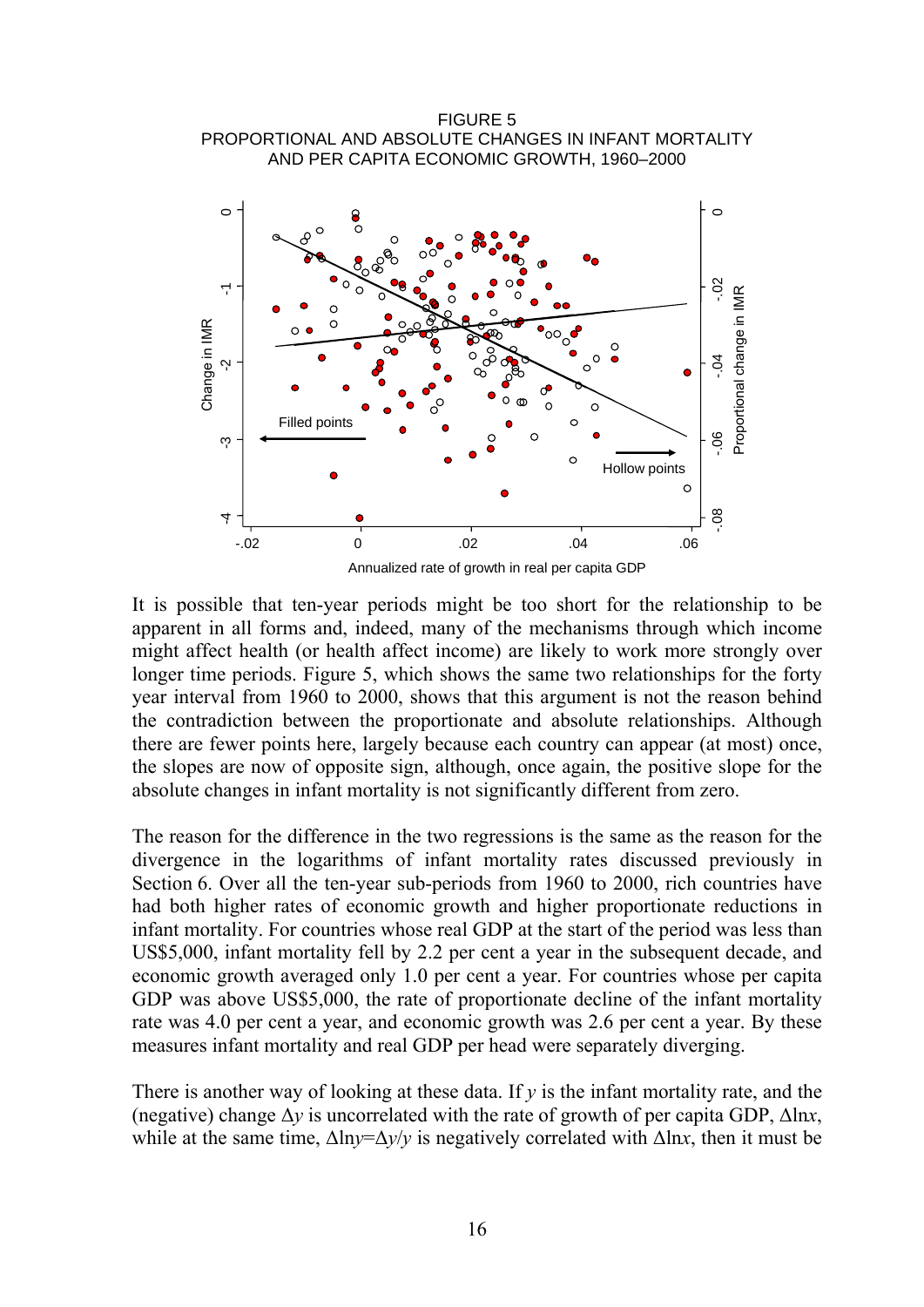



It is possible that ten-year periods might be too short for the relationship to be apparent in all forms and, indeed, many of the mechanisms through which income might affect health (or health affect income) are likely to work more strongly over longer time periods. Figure 5, which shows the same two relationships for the forty year interval from 1960 to 2000, shows that this argument is not the reason behind the contradiction between the proportionate and absolute relationships. Although there are fewer points here, largely because each country can appear (at most) once, the slopes are now of opposite sign, although, once again, the positive slope for the absolute changes in infant mortality is not significantly different from zero.

The reason for the difference in the two regressions is the same as the reason for the divergence in the logarithms of infant mortality rates discussed previously in Section 6. Over all the ten-year sub-periods from 1960 to 2000, rich countries have had both higher rates of economic growth and higher proportionate reductions in infant mortality. For countries whose real GDP at the start of the period was less than US\$5,000, infant mortality fell by 2.2 per cent a year in the subsequent decade, and economic growth averaged only 1.0 per cent a year. For countries whose per capita GDP was above US\$5,000, the rate of proportionate decline of the infant mortality rate was 4.0 per cent a year, and economic growth was 2.6 per cent a year. By these measures infant mortality and real GDP per head were separately diverging.

There is another way of looking at these data. If *y* is the infant mortality rate, and the (negative) change  $\Delta y$  is uncorrelated with the rate of growth of per capita GDP,  $\Delta \ln x$ , while at the same time,  $\Delta \ln y = \Delta y/y$  is negatively correlated with  $\Delta \ln x$ , then it must be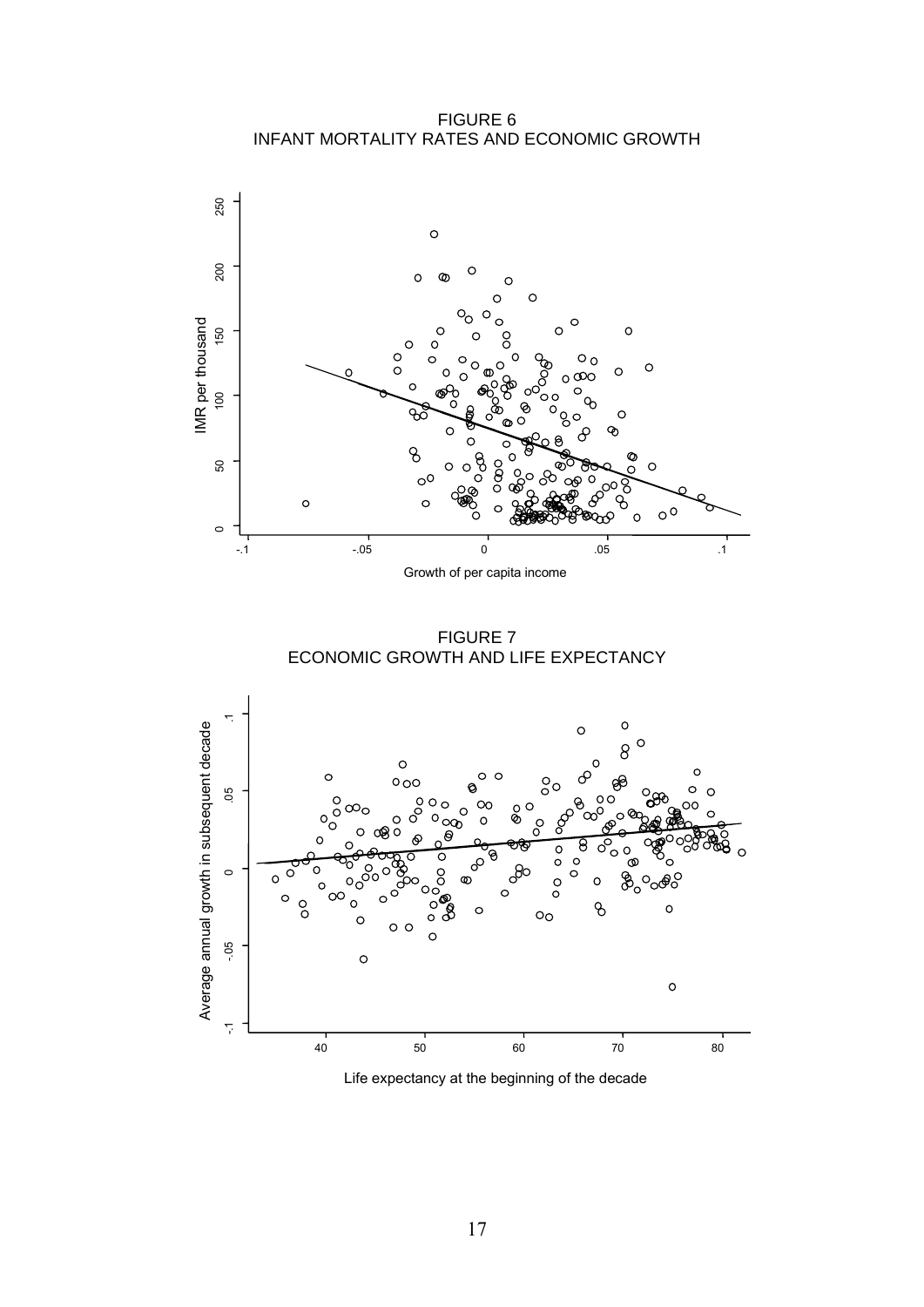FIGURE 6 INFANT MORTALITY RATES AND ECONOMIC GROWTH



FIGURE 7 ECONOMIC GROWTH AND LIFE EXPECTANCY



Life expectancy at the beginning of the decade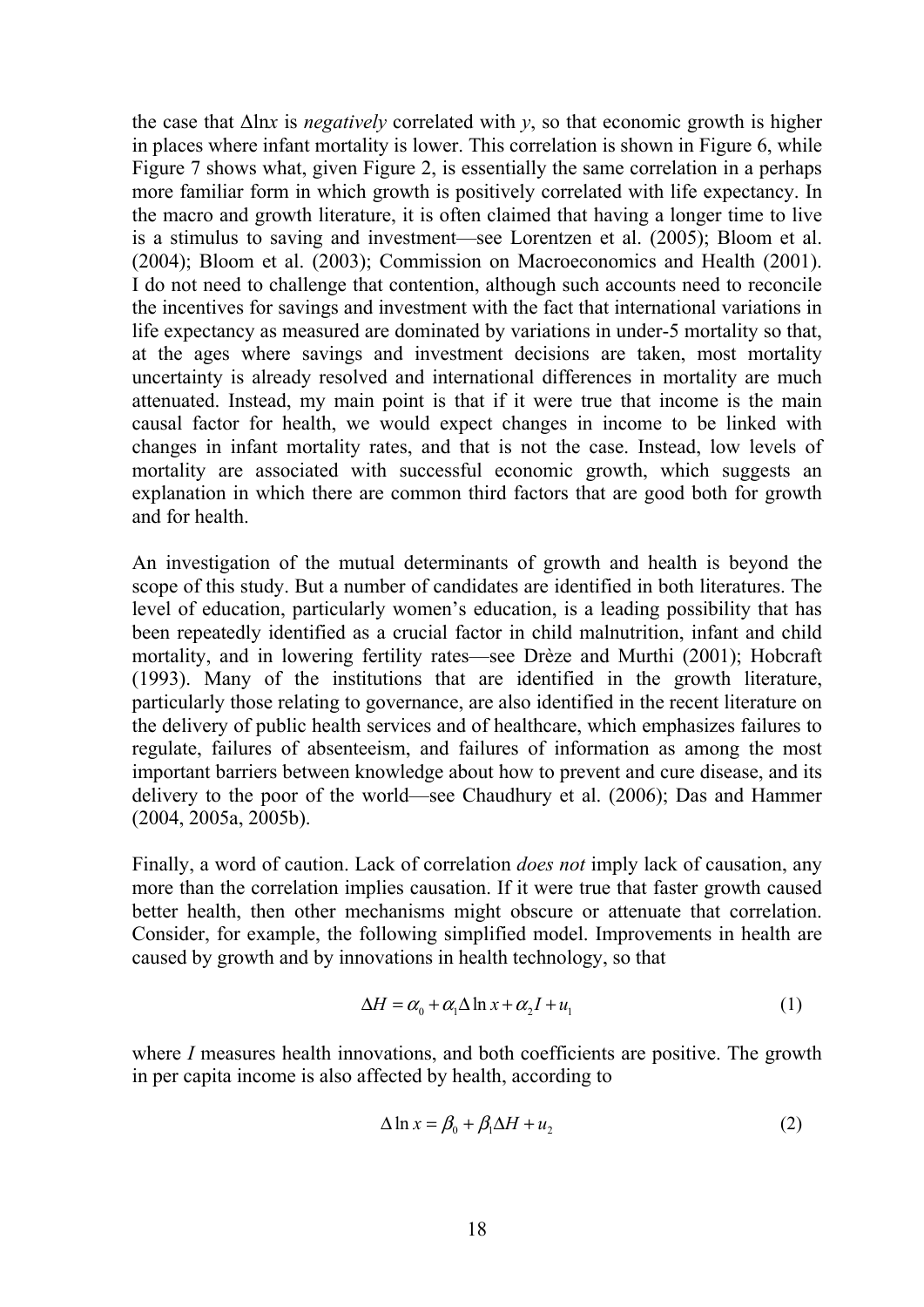the case that Δln*x* is *negatively* correlated with *y*, so that economic growth is higher in places where infant mortality is lower. This correlation is shown in Figure 6, while Figure 7 shows what, given Figure 2, is essentially the same correlation in a perhaps more familiar form in which growth is positively correlated with life expectancy. In the macro and growth literature, it is often claimed that having a longer time to live is a stimulus to saving and investment—see Lorentzen et al. (2005); Bloom et al. (2004); Bloom et al. (2003); Commission on Macroeconomics and Health (2001). I do not need to challenge that contention, although such accounts need to reconcile the incentives for savings and investment with the fact that international variations in life expectancy as measured are dominated by variations in under-5 mortality so that, at the ages where savings and investment decisions are taken, most mortality uncertainty is already resolved and international differences in mortality are much attenuated. Instead, my main point is that if it were true that income is the main causal factor for health, we would expect changes in income to be linked with changes in infant mortality rates, and that is not the case. Instead, low levels of mortality are associated with successful economic growth, which suggests an explanation in which there are common third factors that are good both for growth and for health.

An investigation of the mutual determinants of growth and health is beyond the scope of this study. But a number of candidates are identified in both literatures. The level of education, particularly women's education, is a leading possibility that has been repeatedly identified as a crucial factor in child malnutrition, infant and child mortality, and in lowering fertility rates—see Drèze and Murthi (2001); Hobcraft (1993). Many of the institutions that are identified in the growth literature, particularly those relating to governance, are also identified in the recent literature on the delivery of public health services and of healthcare, which emphasizes failures to regulate, failures of absenteeism, and failures of information as among the most important barriers between knowledge about how to prevent and cure disease, and its delivery to the poor of the world—see Chaudhury et al. (2006); Das and Hammer (2004, 2005a, 2005b).

Finally, a word of caution. Lack of correlation *does not* imply lack of causation, any more than the correlation implies causation. If it were true that faster growth caused better health, then other mechanisms might obscure or attenuate that correlation. Consider, for example, the following simplified model. Improvements in health are caused by growth and by innovations in health technology, so that

$$
\Delta H = \alpha_0 + \alpha_1 \Delta \ln x + \alpha_2 I + u_1 \tag{1}
$$

where *I* measures health innovations, and both coefficients are positive. The growth in per capita income is also affected by health, according to

$$
\Delta \ln x = \beta_0 + \beta_1 \Delta H + u_2 \tag{2}
$$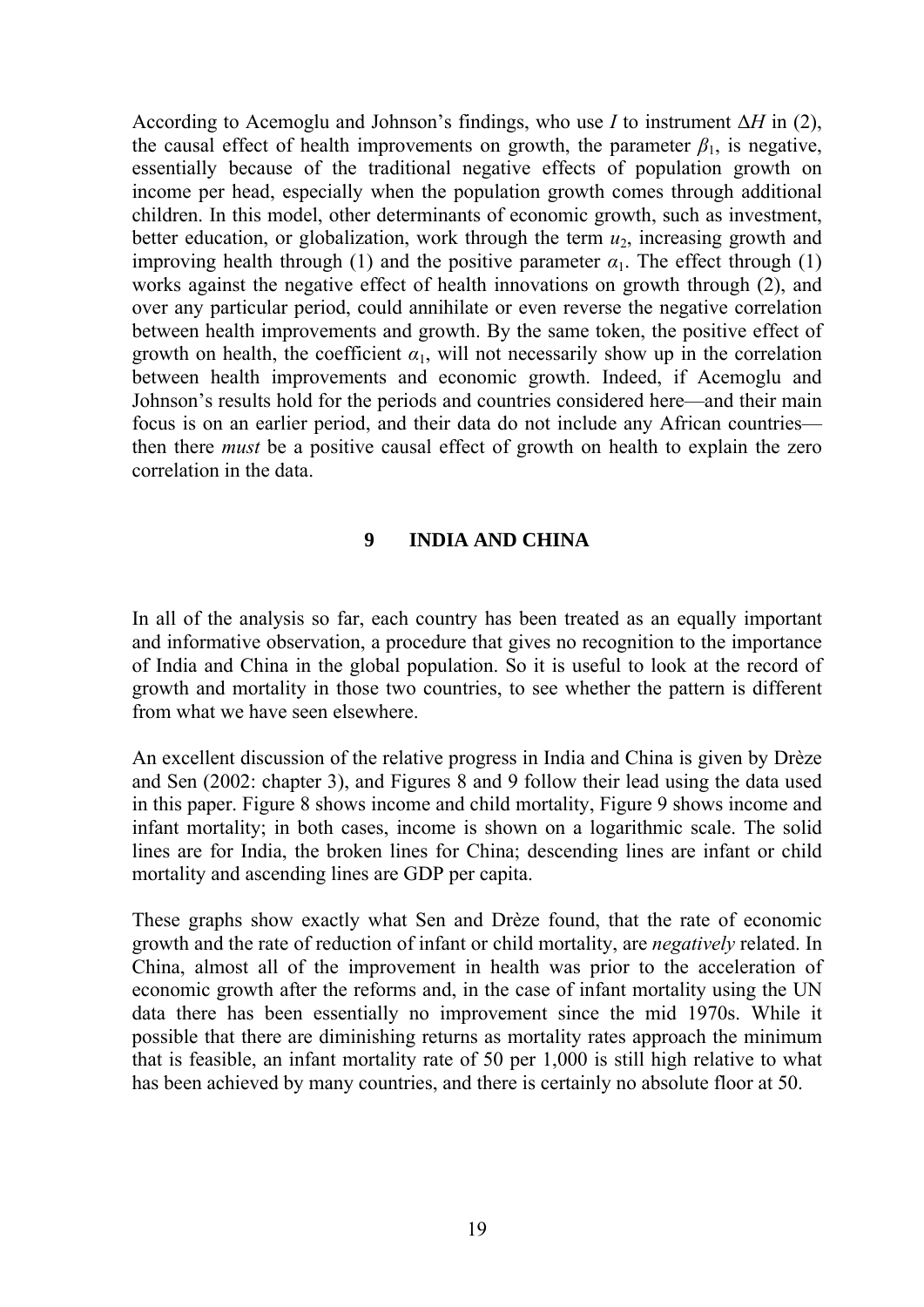According to Acemoglu and Johnson's findings, who use *I* to instrument Δ*H* in (2), the causal effect of health improvements on growth, the parameter  $\beta_1$ , is negative, essentially because of the traditional negative effects of population growth on income per head, especially when the population growth comes through additional children. In this model, other determinants of economic growth, such as investment, better education, or globalization, work through the term  $u_2$ , increasing growth and improving health through (1) and the positive parameter  $\alpha_1$ . The effect through (1) works against the negative effect of health innovations on growth through (2), and over any particular period, could annihilate or even reverse the negative correlation between health improvements and growth. By the same token, the positive effect of growth on health, the coefficient  $\alpha_1$ , will not necessarily show up in the correlation between health improvements and economic growth. Indeed, if Acemoglu and Johnson's results hold for the periods and countries considered here—and their main focus is on an earlier period, and their data do not include any African countries then there *must* be a positive causal effect of growth on health to explain the zero correlation in the data.

#### **9 INDIA AND CHINA**

In all of the analysis so far, each country has been treated as an equally important and informative observation, a procedure that gives no recognition to the importance of India and China in the global population. So it is useful to look at the record of growth and mortality in those two countries, to see whether the pattern is different from what we have seen elsewhere.

An excellent discussion of the relative progress in India and China is given by Drèze and Sen (2002: chapter 3), and Figures 8 and 9 follow their lead using the data used in this paper. Figure 8 shows income and child mortality, Figure 9 shows income and infant mortality; in both cases, income is shown on a logarithmic scale. The solid lines are for India, the broken lines for China; descending lines are infant or child mortality and ascending lines are GDP per capita.

These graphs show exactly what Sen and Drèze found, that the rate of economic growth and the rate of reduction of infant or child mortality, are *negatively* related. In China, almost all of the improvement in health was prior to the acceleration of economic growth after the reforms and, in the case of infant mortality using the UN data there has been essentially no improvement since the mid 1970s. While it possible that there are diminishing returns as mortality rates approach the minimum that is feasible, an infant mortality rate of 50 per 1,000 is still high relative to what has been achieved by many countries, and there is certainly no absolute floor at 50.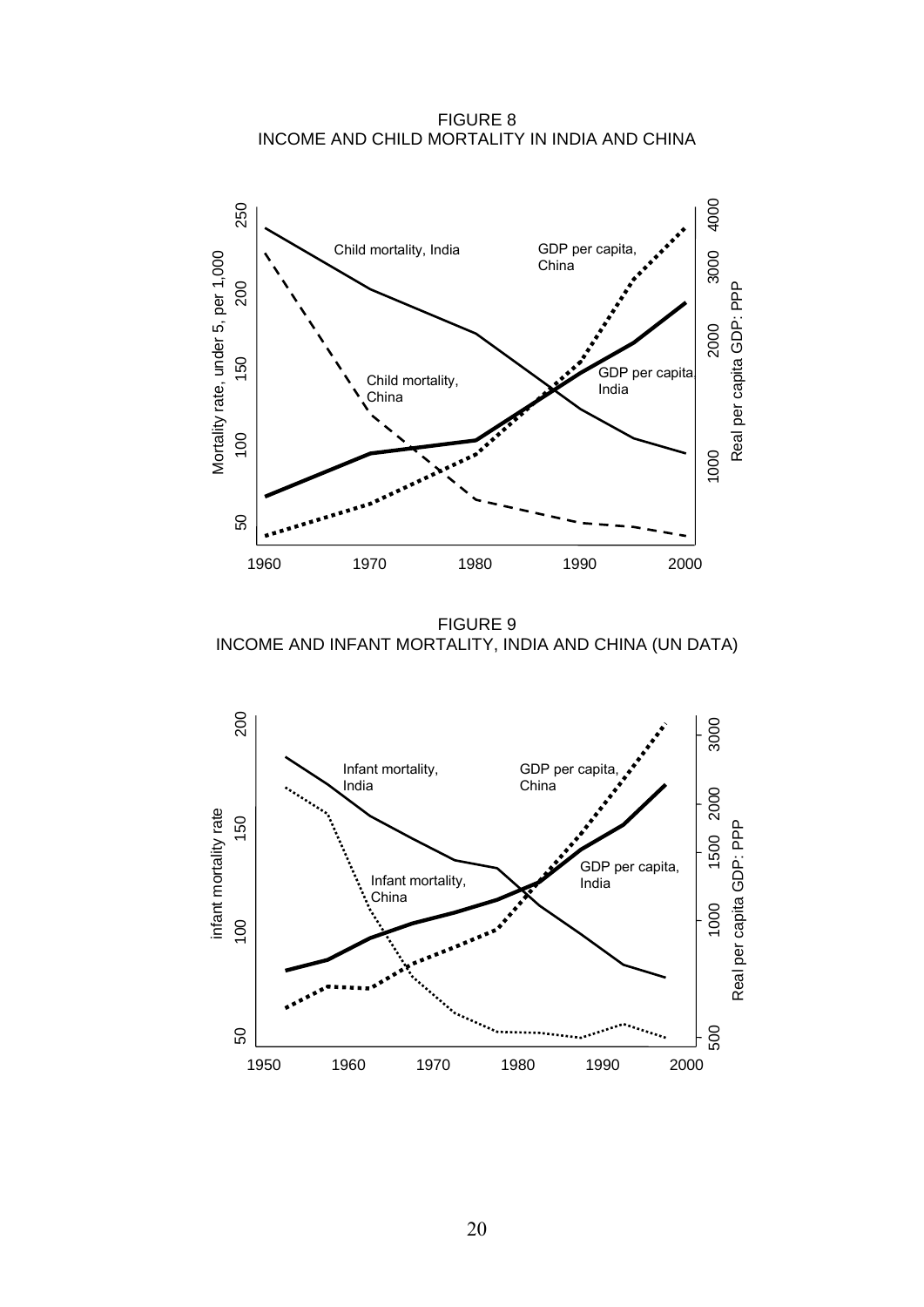FIGURE 8 INCOME AND CHILD MORTALITY IN INDIA AND CHINA



FIGURE 9 INCOME AND INFANT MORTALITY, INDIA AND CHINA (UN DATA)

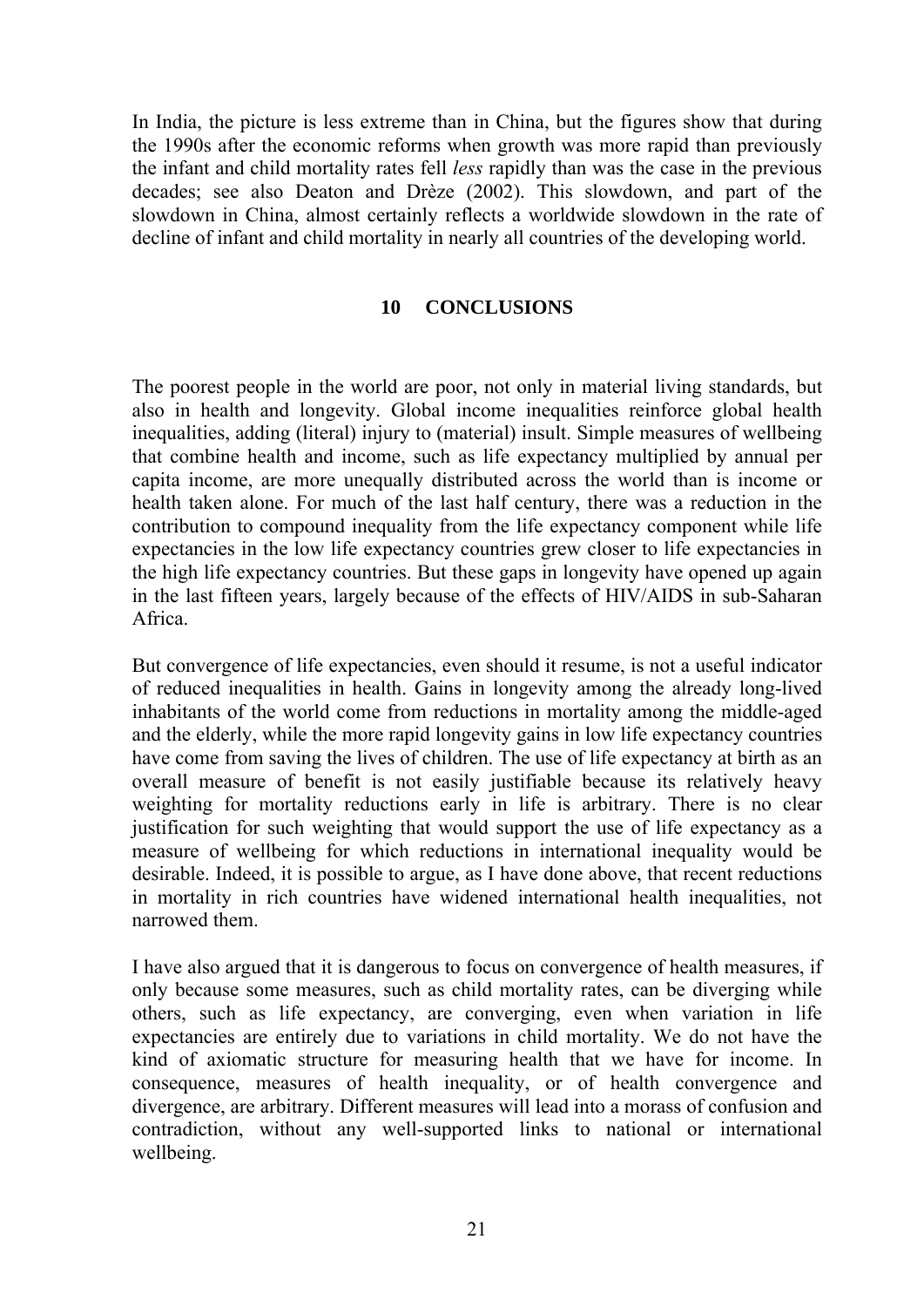In India, the picture is less extreme than in China, but the figures show that during the 1990s after the economic reforms when growth was more rapid than previously the infant and child mortality rates fell *less* rapidly than was the case in the previous decades; see also Deaton and Drèze (2002). This slowdown, and part of the slowdown in China, almost certainly reflects a worldwide slowdown in the rate of decline of infant and child mortality in nearly all countries of the developing world.

#### **10 CONCLUSIONS**

The poorest people in the world are poor, not only in material living standards, but also in health and longevity. Global income inequalities reinforce global health inequalities, adding (literal) injury to (material) insult. Simple measures of wellbeing that combine health and income, such as life expectancy multiplied by annual per capita income, are more unequally distributed across the world than is income or health taken alone. For much of the last half century, there was a reduction in the contribution to compound inequality from the life expectancy component while life expectancies in the low life expectancy countries grew closer to life expectancies in the high life expectancy countries. But these gaps in longevity have opened up again in the last fifteen years, largely because of the effects of HIV/AIDS in sub-Saharan Africa.

But convergence of life expectancies, even should it resume, is not a useful indicator of reduced inequalities in health. Gains in longevity among the already long-lived inhabitants of the world come from reductions in mortality among the middle-aged and the elderly, while the more rapid longevity gains in low life expectancy countries have come from saving the lives of children. The use of life expectancy at birth as an overall measure of benefit is not easily justifiable because its relatively heavy weighting for mortality reductions early in life is arbitrary. There is no clear justification for such weighting that would support the use of life expectancy as a measure of wellbeing for which reductions in international inequality would be desirable. Indeed, it is possible to argue, as I have done above, that recent reductions in mortality in rich countries have widened international health inequalities, not narrowed them.

I have also argued that it is dangerous to focus on convergence of health measures, if only because some measures, such as child mortality rates, can be diverging while others, such as life expectancy, are converging, even when variation in life expectancies are entirely due to variations in child mortality. We do not have the kind of axiomatic structure for measuring health that we have for income. In consequence, measures of health inequality, or of health convergence and divergence, are arbitrary. Different measures will lead into a morass of confusion and contradiction, without any well-supported links to national or international wellbeing.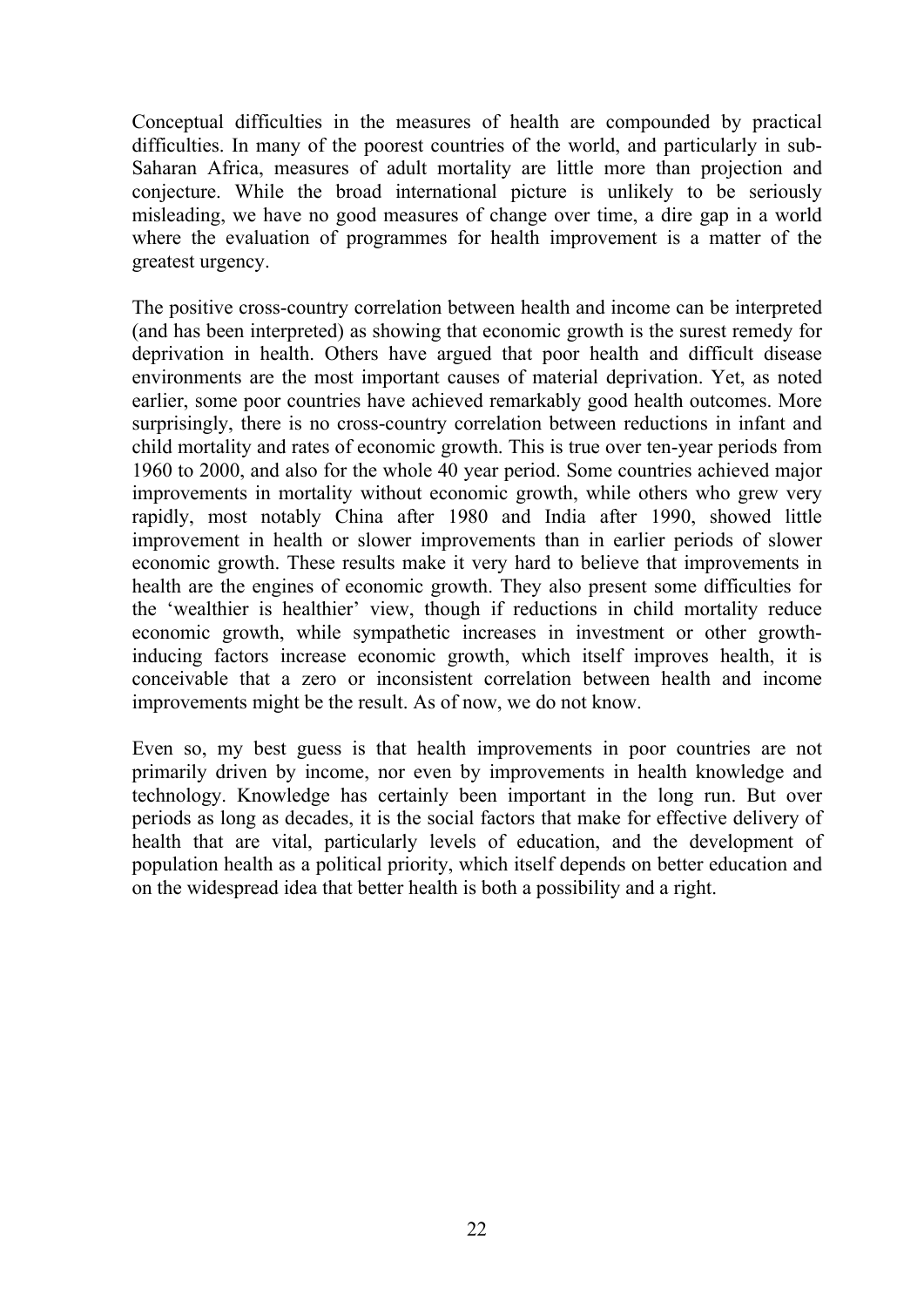Conceptual difficulties in the measures of health are compounded by practical difficulties. In many of the poorest countries of the world, and particularly in sub-Saharan Africa, measures of adult mortality are little more than projection and conjecture. While the broad international picture is unlikely to be seriously misleading, we have no good measures of change over time, a dire gap in a world where the evaluation of programmes for health improvement is a matter of the greatest urgency.

The positive cross-country correlation between health and income can be interpreted (and has been interpreted) as showing that economic growth is the surest remedy for deprivation in health. Others have argued that poor health and difficult disease environments are the most important causes of material deprivation. Yet, as noted earlier, some poor countries have achieved remarkably good health outcomes. More surprisingly, there is no cross-country correlation between reductions in infant and child mortality and rates of economic growth. This is true over ten-year periods from 1960 to 2000, and also for the whole 40 year period. Some countries achieved major improvements in mortality without economic growth, while others who grew very rapidly, most notably China after 1980 and India after 1990, showed little improvement in health or slower improvements than in earlier periods of slower economic growth. These results make it very hard to believe that improvements in health are the engines of economic growth. They also present some difficulties for the 'wealthier is healthier' view, though if reductions in child mortality reduce economic growth, while sympathetic increases in investment or other growthinducing factors increase economic growth, which itself improves health, it is conceivable that a zero or inconsistent correlation between health and income improvements might be the result. As of now, we do not know.

Even so, my best guess is that health improvements in poor countries are not primarily driven by income, nor even by improvements in health knowledge and technology. Knowledge has certainly been important in the long run. But over periods as long as decades, it is the social factors that make for effective delivery of health that are vital, particularly levels of education, and the development of population health as a political priority, which itself depends on better education and on the widespread idea that better health is both a possibility and a right.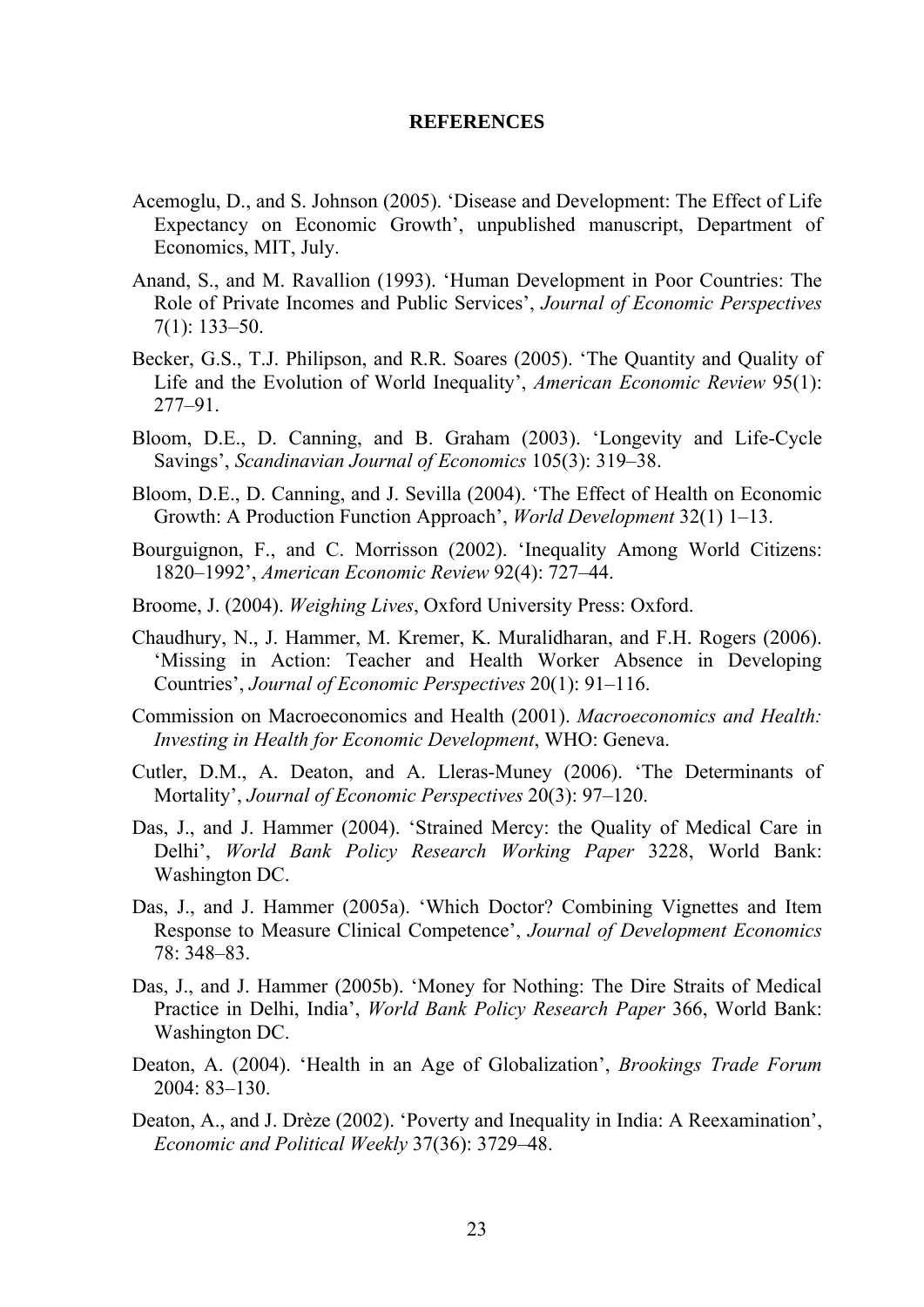#### **REFERENCES**

- Acemoglu, D., and S. Johnson (2005). 'Disease and Development: The Effect of Life Expectancy on Economic Growth', unpublished manuscript, Department of Economics, MIT, July.
- Anand, S., and M. Ravallion (1993). 'Human Development in Poor Countries: The Role of Private Incomes and Public Services', *Journal of Economic Perspectives* 7(1): 133–50.
- Becker, G.S., T.J. Philipson, and R.R. Soares (2005). 'The Quantity and Quality of Life and the Evolution of World Inequality', *American Economic Review* 95(1): 277–91.
- Bloom, D.E., D. Canning, and B. Graham (2003). 'Longevity and Life-Cycle Savings', *Scandinavian Journal of Economics* 105(3): 319–38.
- Bloom, D.E., D. Canning, and J. Sevilla (2004). 'The Effect of Health on Economic Growth: A Production Function Approach', *World Development* 32(1) 1–13.
- Bourguignon, F., and C. Morrisson (2002). 'Inequality Among World Citizens: 1820–1992', *American Economic Review* 92(4): 727–44.
- Broome, J. (2004). *Weighing Lives*, Oxford University Press: Oxford.
- Chaudhury, N., J. Hammer, M. Kremer, K. Muralidharan, and F.H. Rogers (2006). 'Missing in Action: Teacher and Health Worker Absence in Developing Countries', *Journal of Economic Perspectives* 20(1): 91–116.
- Commission on Macroeconomics and Health (2001). *Macroeconomics and Health: Investing in Health for Economic Development*, WHO: Geneva.
- Cutler, D.M., A. Deaton, and A. Lleras-Muney (2006). 'The Determinants of Mortality', *Journal of Economic Perspectives* 20(3): 97–120.
- Das, J., and J. Hammer (2004). 'Strained Mercy: the Quality of Medical Care in Delhi', *World Bank Policy Research Working Paper* 3228, World Bank: Washington DC.
- Das, J., and J. Hammer (2005a). 'Which Doctor? Combining Vignettes and Item Response to Measure Clinical Competence', *Journal of Development Economics* 78: 348–83.
- Das, J., and J. Hammer (2005b). 'Money for Nothing: The Dire Straits of Medical Practice in Delhi, India', *World Bank Policy Research Paper* 366, World Bank: Washington DC.
- Deaton, A. (2004). 'Health in an Age of Globalization', *Brookings Trade Forum*  2004: 83–130.
- Deaton, A., and J. Drèze (2002). 'Poverty and Inequality in India: A Reexamination', *Economic and Political Weekly* 37(36): 3729–48.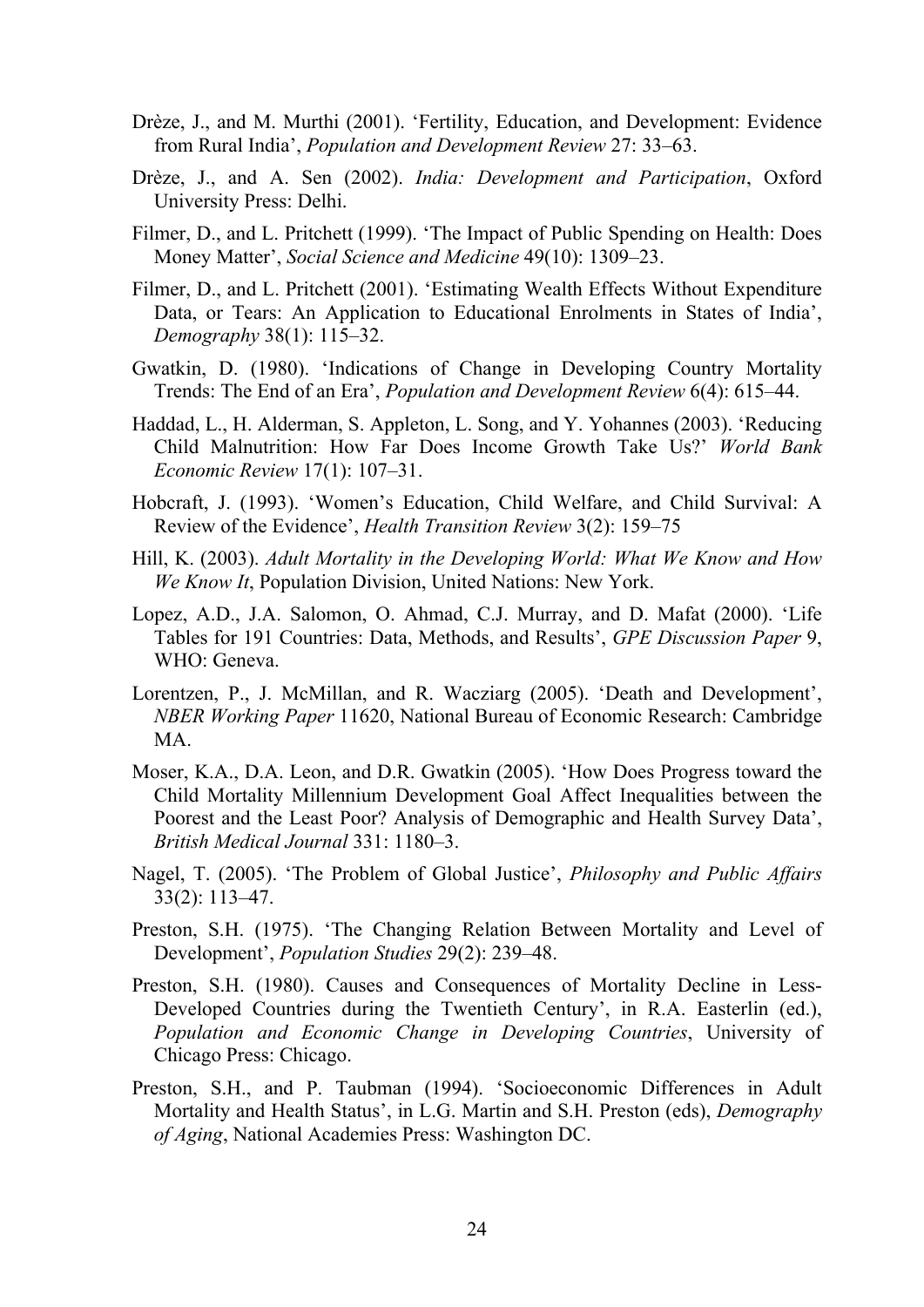- Drèze, J., and M. Murthi (2001). 'Fertility, Education, and Development: Evidence from Rural India', *Population and Development Review* 27: 33–63.
- Drèze, J., and A. Sen (2002). *India: Development and Participation*, Oxford University Press: Delhi.
- Filmer, D., and L. Pritchett (1999). 'The Impact of Public Spending on Health: Does Money Matter', *Social Science and Medicine* 49(10): 1309–23.
- Filmer, D., and L. Pritchett (2001). 'Estimating Wealth Effects Without Expenditure Data, or Tears: An Application to Educational Enrolments in States of India', *Demography* 38(1): 115–32.
- Gwatkin, D. (1980). 'Indications of Change in Developing Country Mortality Trends: The End of an Era', *Population and Development Review* 6(4): 615–44.
- Haddad, L., H. Alderman, S. Appleton, L. Song, and Y. Yohannes (2003). 'Reducing Child Malnutrition: How Far Does Income Growth Take Us?' *World Bank Economic Review* 17(1): 107–31.
- Hobcraft, J. (1993). 'Women's Education, Child Welfare, and Child Survival: A Review of the Evidence', *Health Transition Review* 3(2): 159–75
- Hill, K. (2003). *Adult Mortality in the Developing World: What We Know and How We Know It*, Population Division, United Nations: New York.
- Lopez, A.D., J.A. Salomon, O. Ahmad, C.J. Murray, and D. Mafat (2000). 'Life Tables for 191 Countries: Data, Methods, and Results', *GPE Discussion Paper* 9, WHO: Geneva.
- Lorentzen, P., J. McMillan, and R. Wacziarg (2005). 'Death and Development', *NBER Working Paper* 11620, National Bureau of Economic Research: Cambridge MA.
- Moser, K.A., D.A. Leon, and D.R. Gwatkin (2005). 'How Does Progress toward the Child Mortality Millennium Development Goal Affect Inequalities between the Poorest and the Least Poor? Analysis of Demographic and Health Survey Data', *British Medical Journal* 331: 1180–3.
- Nagel, T. (2005). 'The Problem of Global Justice', *Philosophy and Public Affairs* 33(2): 113–47.
- Preston, S.H. (1975). 'The Changing Relation Between Mortality and Level of Development', *Population Studies* 29(2): 239–48.
- Preston, S.H. (1980). Causes and Consequences of Mortality Decline in Less-Developed Countries during the Twentieth Century', in R.A. Easterlin (ed.), *Population and Economic Change in Developing Countries*, University of Chicago Press: Chicago.
- Preston, S.H., and P. Taubman (1994). 'Socioeconomic Differences in Adult Mortality and Health Status', in L.G. Martin and S.H. Preston (eds), *Demography of Aging*, National Academies Press: Washington DC.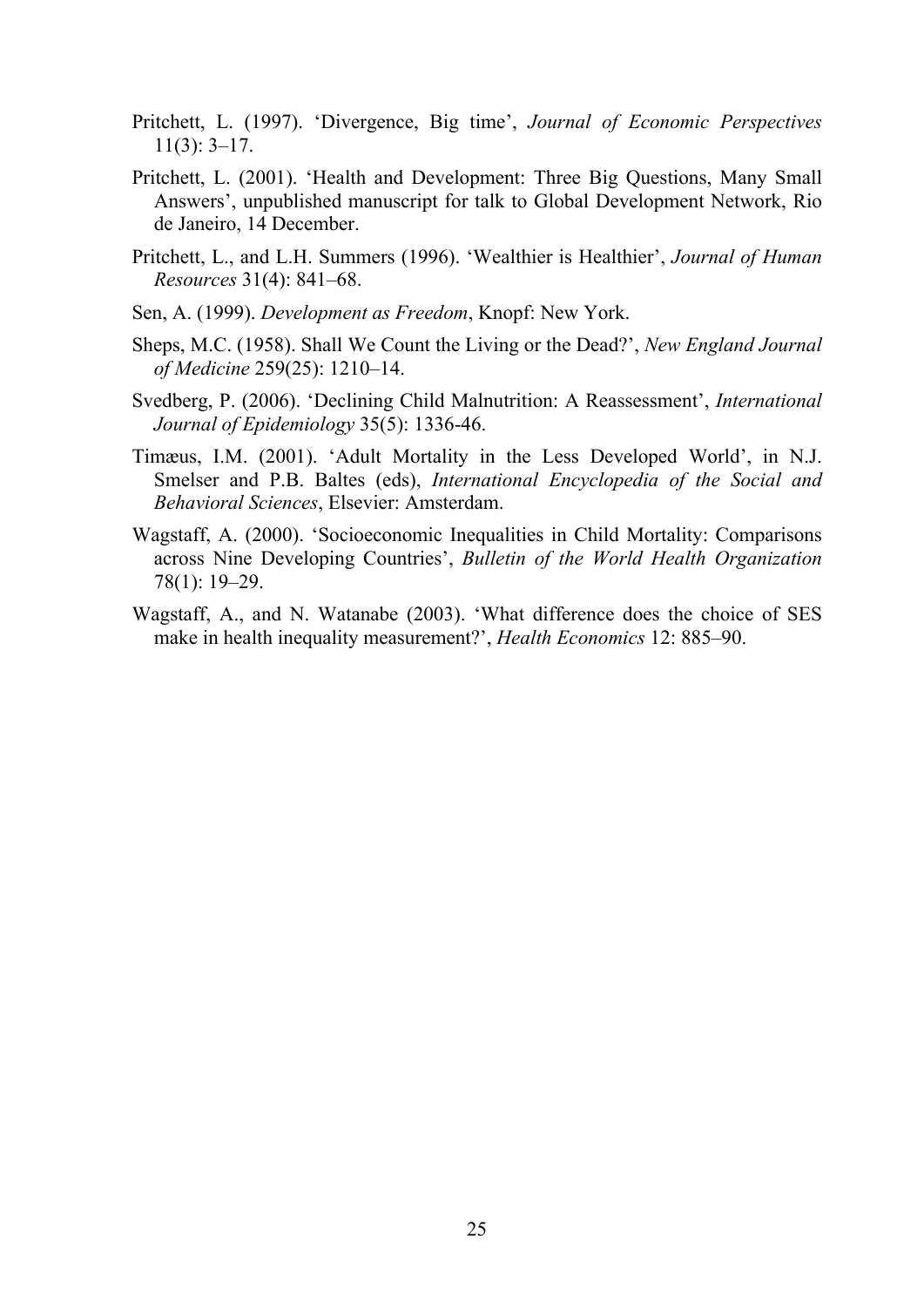- Pritchett, L. (1997). 'Divergence, Big time', *Journal of Economic Perspectives* 11(3): 3–17.
- Pritchett, L. (2001). 'Health and Development: Three Big Questions, Many Small Answers', unpublished manuscript for talk to Global Development Network, Rio de Janeiro, 14 December.
- Pritchett, L., and L.H. Summers (1996). 'Wealthier is Healthier', *Journal of Human Resources* 31(4): 841–68.
- Sen, A. (1999). *Development as Freedom*, Knopf: New York.
- Sheps, M.C. (1958). Shall We Count the Living or the Dead?', *New England Journal of Medicine* 259(25): 1210–14.
- Svedberg, P. (2006). 'Declining Child Malnutrition: A Reassessment', *International Journal of Epidemiology* 35(5): 1336-46.
- Timæus, I.M. (2001). 'Adult Mortality in the Less Developed World', in N.J. Smelser and P.B. Baltes (eds), *International Encyclopedia of the Social and Behavioral Sciences*, Elsevier: Amsterdam.
- Wagstaff, A. (2000). 'Socioeconomic Inequalities in Child Mortality: Comparisons across Nine Developing Countries', *Bulletin of the World Health Organization* 78(1): 19–29.
- Wagstaff, A., and N. Watanabe (2003). 'What difference does the choice of SES make in health inequality measurement?', *Health Economics* 12: 885–90.